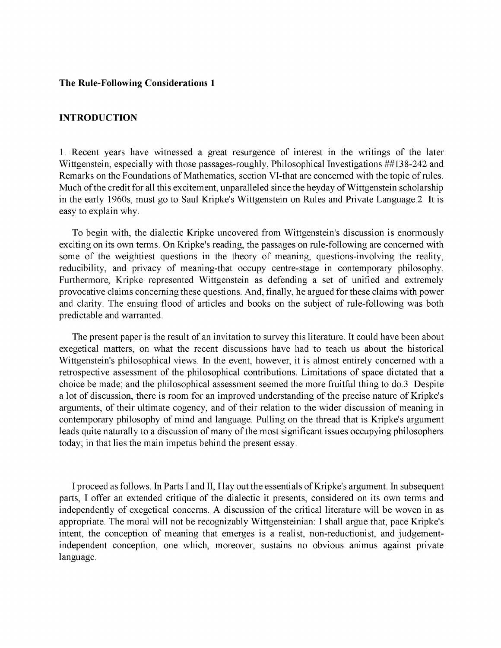#### The Rule-Following Considerations 1

#### INTRODUCTION

1. Recent years have witnessed a great resurgence of interest in the writings of the later Wittgenstein, especially with those passages-roughly, Philosophical Investigations ##138-242 and Remarks on the Foundations of Mathematics, section VI-that are concerned with the topic of rules. Much of the credit for all this excitement, unparalleled since the heyday of Wittgenstein scholarship in the early 1960s, must go to Saul Kripke's Wittgenstein on Rules and Private Language.2 It is easy to explain why.

To begin with, the dialectic Kripke uncovered from Wittgenstein's discussion is enormously exciting on its own terms. On Kripke's reading, the passages on rule-following are concerned with some of the weightiest questions in the theory of meaning, questions-involving the reality, reducibility, and privacy of meaning-that occupy centre-stage in contemporary philosophy. Furthermore, Kripke represented Wittgenstein as defending a set of unified and extremely provocative claims concerning these questions. And, finally, he argued for these claims with power and clarity. The ensuing flood of articles and books on the subject of rule-following was both predictable and warranted.

The present paper is the result of an invitation to survey this literature. It could have been about exegetical matters, on what the recent discussions have had to teach us about the historical Wittgenstein's philosophical views. In the event, however, it is almost entirely concerned with a retrospective assessment of the philosophical contributions. Limitations of space dictated that a choice be made; and the philosophical assessment seemed the more fruitful thing to do.3 Despite a lot of discussion, there is room for an improved understanding of the precise nature of Kripke's arguments, of their ultimate cogency, and of their relation to the wider discussion of meaning in contemporary philosophy of mind and language. Pulling on the thread that is Kripke's argument leads quite naturally to a discussion of many of the most significant issues occupying philosophers today; in that lies the main impetus behind the present essay.

I proceed as follows. In Parts I and II, I lay out the essentials of Kripke's argument. In subsequent parts, I offer an extended critique of the dialectic it presents, considered on its own terms and independently of exegetical concerns. A discussion of the critical literature will be woven in as appropriate. The moral will not be recognizably Wittgensteinian: I shall argue that, pace Kripke's intent, the conception of meaning that emerges is a realist, non-reductionist, and judgementindependent conception, one which, moreover, sustains no obvious animus against private language.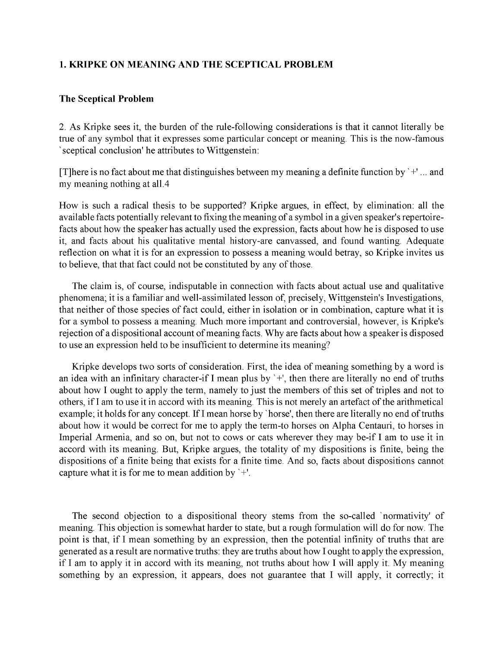## 1. KRIPKE ON MEANING AND THE SCEPTICAL PROBLEM

#### The Sceptical Problem

2. As Kripke sees it, the burden of the rule-following considerations is that it cannot literally be true of any symbol that it expresses some particular concept or meaning. This is the now-famous 'sceptical conclusion' he attributes to Wittgenstein:

[T]here is no fact about me that distinguishes between my meaning a definite function by '+' ... and my meaning nothing at all.4

How is such a radical thesis to be supported? Kripke argues, in effect, by elimination: all the available facts potentially relevant to fixing the meaning of a symbol in a given speaker's repertoirefacts about how the speaker has actually used the expression, facts about how he is disposed to use it, and facts about his qualitative mental history-are canvassed, and found wanting. Adequate reflection on what it is for an expression to possess a meaning would betray, so Kripke invites us to believe, that that fact could not be constituted by any of those.

The claim is, of course, indisputable in connection with facts about actual use and qualitative phenomena; it is a familiar and well-assimilated lesson of, precisely, Wittgenstein's Investigations, that neither of those species of fact could, either in isolation or in combination, capture what it is for a symbol to possess a meaning. Much more important and controversial, however, is Kripke's rejection of a dispositional account of meaning facts. Why are facts about how a speaker is disposed to use an expression held to be insufficient to determine its meaning?

Kripke develops two sorts of consideration. First, the idea of meaning something by a word is an idea with an infinitary character-if I mean plus by  $+$ , then there are literally no end of truths about how I ought to apply the term, namely to just the members of this set of triples and not to others, if I am to use it in accord with its meaning. This is not merely an artefact of the arithmetical example; it holds for any concept. If I mean horse by 'horse', then there are literally no end of truths about how it would be correct for me to apply the term-to horses on Alpha Centauri, to horses in Imperial Armenia, and so on, but not to cows or cats wherever they may be-if I am to use it in accord with its meaning. But, Kripke argues, the totality of my dispositions is finite, being the dispositions of a finite being that exists for a finite time. And so, facts about dispositions cannot capture what it is for me to mean addition by '+'.

The second objection to a dispositional theory stems from the so-called 'normativity' of meaning. This objection is somewhat harder to state, but a rough formulation will do for now. The point is that, if I mean something by an expression, then the potential infinity of truths that are generated as a result are normative truths: they are truths about how I ought to apply the expression, if I am to apply it in accord with its meaning, not truths about how I will apply it. My meaning something by an expression, it appears, does not guarantee that I will apply, it correctly; it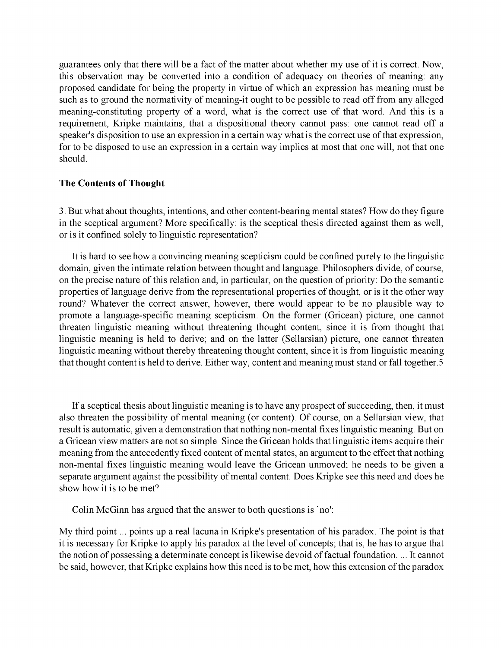guarantees only that there will be a fact of the matter about whether my use of it is correct. Now, this observation may be converted into a condition of adequacy on theories of meaning: any proposed candidate for being the property in virtue of which an expression has meaning must be such as to ground the normativity of meaning-it ought to be possible to read off from any alleged meaning-constituting property of a word, what is the correct use of that word. And this is a requirement, Kripke maintains, that a dispositional theory cannot pass: one cannot read off a speaker's disposition to use an expression in a certain way what is the correct use of that expression, for to be disposed to use an expression in a certain way implies at most that one will, not that one should.

## The Contents of Thought

3. But what about thoughts, intentions, and other content-bearing mental states? How do they figure in the sceptical argument? More specifically: is the sceptical thesis directed against them as well, or is it confined solely to linguistic representation?

It is hard to see how a convincing meaning scepticism could be confined purely to the linguistic domain, given the intimate relation between thought and language. Philosophers divide, of course, on the precise nature of this relation and, in particular, on the question of priority: Do the semantic properties of language derive from the representational properties of thought, or is it the other way round? Whatever the correct answer, however, there would appear to be no plausible way to promote a language-specific meaning scepticism. On the former (Gricean) picture, one cannot threaten linguistic meaning without threatening thought content, since it is from thought that linguistic meaning is held to derive; and on the latter (Sellarsian) picture, one cannot threaten linguistic meaning without thereby threatening thought content, since it is from linguistic meaning that thought content is held to derive. Either way, content and meaning must stand or fall together. 5

If a sceptical thesis about linguistic meaning is to have any prospect of succeeding, then, it must also threaten the possibility of mental meaning (or content). Of course, on a Sellarsian view, that result is automatic, given a demonstration that nothing non-mental fixeslinguistic meaning. But on a Gricean view matters are not so simple. Since the Gricean holds that linguistic items acquire their meaning from the antecedently fixed content of mental states, an argument to the effect that nothing non-mental fixes linguistic meaning would leave the Gricean unmoved; he needs to be given a separate argument against the possibility of mental content. Does Kripke see this need and does he show how it is to be met?

Colin McGinn has argued that the answer to both questions is 'no':

My third point ... points up a real lacuna in Kripke's presentation of his paradox. The point is that it is necessary for Kripke to apply his paradox at the level of concepts; that is, he has to argue that the notion of possessing a determinate concept is likewise devoid of factual foundation. ... It cannot be said, however, that Kripke explains how this need is to be met, how this extension of the paradox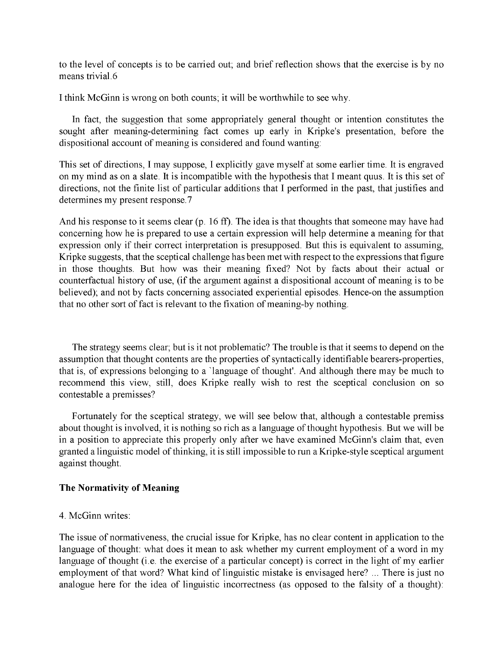to the level of concepts is to be carried out; and brief reflection shows that the exercise is by no means trivial.6

I think McGinn is wrong on both counts; it will be worthwhile to see why.

In fact, the suggestion that some appropriately general thought or intention constitutes the sought after meaning-determining fact comes up early in Kripke's presentation, before the dispositional account of meaning is considered and found wanting:

This set of directions, I may suppose, I explicitly gave myself at some earlier time. It is engraved on my mind as on a slate. It is incompatible with the hypothesis that I meant quus. It is this set of directions, not the finite list of particular additions that I performed in the past, that justifies and determines my present response.7

And his response to it seems clear (p. 16 ff). The idea is that thoughts that someone may have had concerning how he is prepared to use a certain expression will help determine a meaning for that expression only if their correct interpretation is presupposed. But this is equivalent to assuming, Kripke suggests, that the sceptical challenge has been met with respect to the expressions that figure in those thoughts. But how was their meaning fixed? Not by facts about their actual or counterfactual history of use, (if the argument against a dispositional account of meaning is to be believed); and not by facts concerning associated experiential episodes. Hence-on the assumption that no other sort of fact is relevant to the fixation of meaning-by nothing.

The strategy seems clear; but is it not problematic? The trouble is that it seems to depend on the assumption that thought contents are the properties of syntactically identifiable bearers-properties, that is, of expressions belonging to a 'language of thought'. And although there may be much to recommend this view, still, does Kripke really wish to rest the sceptical conclusion on so contestable a premisses?

Fortunately for the sceptical strategy, we will see below that, although a contestable premiss about thought is involved, it is nothing so rich as a language of thought hypothesis. But we will be in a position to appreciate this properly only after we have examined McGinn's claim that, even granted a linguistic model of thinking, it is still impossible to run a Kripke-style sceptical argument against thought.

## The Normativity of Meaning

# 4. McGinn writes:

The issue of normativeness, the crucial issue for Kripke, has no clear content in application to the language of thought: what does it mean to ask whether my current employment of a word in my language of thought (i.e. the exercise of a particular concept) is correct in the light of my earlier employment of that word? What kind of linguistic mistake is envisaged here? ... There is just no analogue here for the idea of linguistic incorrectness (as opposed to the falsity of a thought):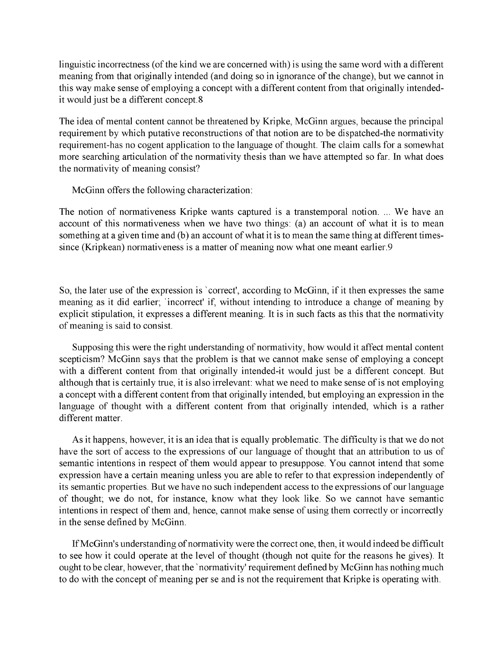linguistic incorrectness (of the kind we are concerned with) is using the same word with a different meaning from that originally intended (and doing so in ignorance of the change), but we cannot in this way make sense of employing a concept with a different content from that originally intendedit would just be a different concept.8

The idea of mental content cannot be threatened by Kripke, McGinn argues, because the principal requirement by which putative reconstructions of that notion are to be dispatched-the normativity requirement-has no cogent application to the language of thought. The claim calls for a somewhat more searching articulation of the normativity thesis than we have attempted so far. In what does the normativity of meaning consist?

McGinn offers the following characterization:

The notion of normativeness Kripke wants captured is a transtemporal notion. ... We have an account of this normativeness when we have two things: (a) an account of what it is to mean something at a given time and (b) an account of what it is to mean the same thing at different timessince (Kripkean) normativeness is a matter of meaning now what one meant earlier.9

So, the later use of the expression is 'correct', according to McGinn, if it then expresses the same meaning as it did earlier; 'incorrect' if, without intending to introduce a change of meaning by explicit stipulation, it expresses a different meaning. It is in such facts as this that the normativity of meaning is said to consist.

Supposing this were the right understanding of normativity, how would it affect mental content scepticism? McGinn says that the problem is that we cannot make sense of employing a concept with a different content from that originally intended-it would just be a different concept. But although that is certainly true, it is also irrelevant: what we need to make sense of is not employing a concept with a different content from that originally intended, but employing an expression in the language of thought with a different content from that originally intended, which is a rather different matter.

As it happens, however, it is an idea that is equally problematic. The difficulty is that we do not have the sort of access to the expressions of our language of thought that an attribution to us of semantic intentions in respect of them would appear to presuppose. You cannot intend that some expression have a certain meaning unless you are able to refer to that expression independently of its semantic properties. But we have no such independent access to the expressions of our language of thought; we do not, for instance, know what they look like. So we cannot have semantic intentions in respect of them and, hence, cannot make sense of using them correctly or incorrectly in the sense defined by McGinn.

If McGinn's understanding of normativity were the correct one, then, it would indeed be difficult to see how it could operate at the level of thought (though not quite for the reasons he gives). It ought to be clear, however, that the 'normativity' requirement defined by McGinn has nothing much to do with the concept of meaning per se and is not the requirement that Kripke is operating with.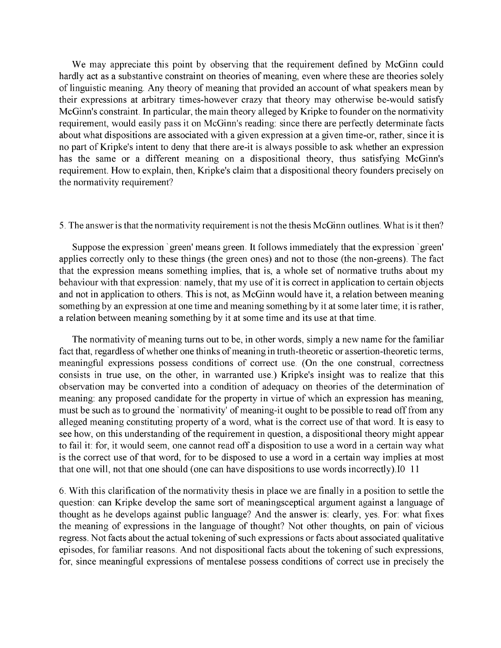We may appreciate this point by observing that the requirement defined by McGinn could hardly act as a substantive constraint on theories of meaning, even where these are theories solely of linguistic meaning. Any theory of meaning that provided an account of what speakers mean by their expressions at arbitrary times-however crazy that theory may otherwise be-would satisfy McGinn's constraint. In particular, the main theory alleged by Kripke to founder on the normativity requirement, would easily pass it on McGinn's reading: since there are perfectly determinate facts about what dispositions are associated with a given expression at a given time-or, rather, since it is no part of Kripke's intent to deny that there are-it is always possible to ask whether an expression has the same or a different meaning on a dispositional theory, thus satisfying McGinn's requirement. How to explain, then, Kripke's claim that a dispositional theory founders precisely on the normativity requirement?

#### 5. The answer is that the normativity requirement is not the thesis McGinn outlines. What is it then?

Suppose the expression 'green' means green. It follows immediately that the expression 'green' applies correctly only to these things (the green ones) and not to those (the non-greens). The fact that the expression means something implies, that is, a whole set of normative truths about my behaviour with that expression: namely, that my use of it is correct in application to certain objects and not in application to others. This is not, as McGinn would have it, a relation between meaning something by an expression at one time and meaning something by it at some later time; it is rather, a relation between meaning something by it at some time and its use at that time.

The normativity of meaning turns out to be, in other words, simply a new name for the familiar fact that, regardless of whether one thinks of meaning in truth-theoretic or assertion-theoretic terms, meaningful expressions possess conditions of correct use. (On the one construal, correctness consists in true use, on the other, in warranted use.) Kripke's insight was to realize that this observation may be converted into a condition of adequacy on theories of the determination of meaning: any proposed candidate for the property in virtue of which an expression has meaning, must be such as to ground the 'normativity' of meaning-it ought to be possible to read off from any alleged meaning constituting property of a word, what is the correct use of that word. It is easy to see how, on this understanding of the requirement in question, a dispositional theory might appear to fail it: for, it would seem, one cannot read off a disposition to use a word in a certain way what is the correct use of that word, for to be disposed to use a word in a certain way implies at most that one will, not that one should (one can have dispositions to use words incorrectly).I0 11

6. With this clarification of the normativity thesis in place we are finally in a position to settle the question: can Kripke develop the same sort of meaningsceptical argument against a language of thought as he develops against public language? And the answer is: clearly, yes. For: what fixes the meaning of expressions in the language of thought? Not other thoughts, on pain of vicious regress. Not facts about the actual tokening of such expressions or facts about associated qualitative episodes, for familiar reasons. And not dispositional facts about the tokening of such expressions, for, since meaningful expressions of mentalese possess conditions of correct use in precisely the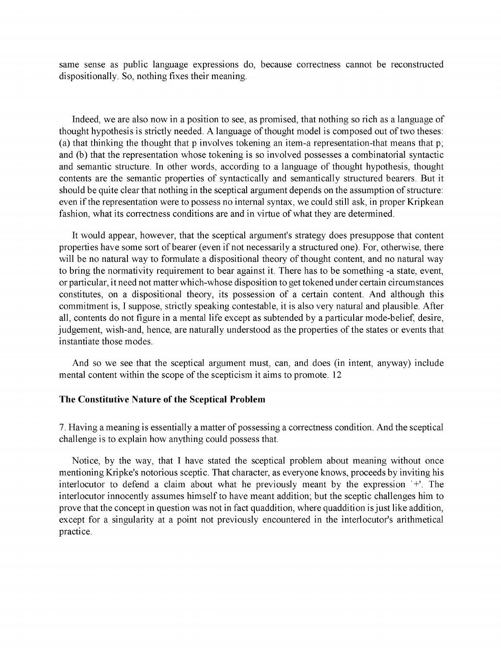same sense as public language expressions do, because correctness cannot be reconstructed dispositionally. So, nothing fixes their meaning.

Indeed, we are also now in a position to see, as promised, that nothing so rich as a language of thought hypothesis is strictly needed. A language of thought model is composed out of two theses: (a) that thinking the thought that p involves tokening an item-a representation-that means that p; and (b) that the representation whose tokening is so involved possesses a combinatorial syntactic and semantic structure. In other words, according to a language of thought hypothesis, thought contents are the semantic properties of syntactically and semantically structured bearers. But it should be quite clear that nothing in the sceptical argument depends on the assumption of structure: even if the representation were to possess no internal syntax, we could still ask, in proper Kripkean fashion, what its correctness conditions are and in virtue of what they are determined.

It would appear, however, that the sceptical argument's strategy does presuppose that content properties have some sort of bearer (even if not necessarily a structured one). For, otherwise, there will be no natural way to formulate a dispositional theory of thought content, and no natural way to bring the normativity requirement to bear against it. There has to be something -a state, event, or particular, it need not matterwhich-whose disposition to get tokened under certain circumstances constitutes, on a dispositional theory, its possession of a certain content. And although this commitment is, I suppose, strictly speaking contestable, it is also very natural and plausible. After all, contents do not figure in a mental life except as subtended by a particular mode-belief, desire, judgement, wish-and, hence, are naturally understood as the properties of the states or events that instantiate those modes.

And so we see that the sceptical argument must, can, and does (in intent, anyway) include mental content within the scope of the scepticism it aims to promote. 12

#### The Constitutive Nature of the Sceptical Problem

7. Having a meaning is essentially a matter of possessing a correctness condition. And the sceptical challenge is to explain how anything could possess that.

Notice, by the way, that I have stated the sceptical problem about meaning without once mentioning Kripke's notorious sceptic. That character, as everyone knows, proceeds by inviting his interlocutor to defend a claim about what he previously meant by the expression '+'. The interlocutor innocently assumes himself to have meant addition; but the sceptic challenges him to prove that the concept in question was not in fact quaddition, where quaddition is just like addition, except for a singularity at a point not previously encountered in the interlocutor's arithmetical practice.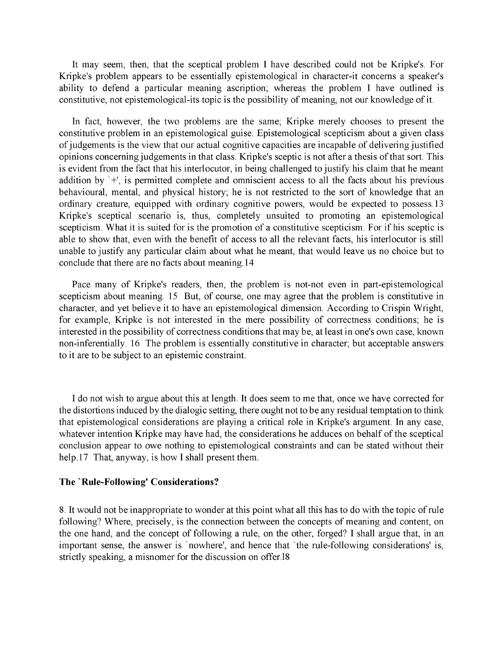It may seem, then, that the sceptical problem I have described could not be Kripke's. For Kripke's problem appears to be essentially epistemological in character-it concerns a speaker's ability to defend a particular meaning ascription; whereas the problem I have outlined is constitutive, not epistemological-its topic is the possibility of meaning, not our knowledge of it.

In fact, however, the two problems are the same; Kripke merely chooses to present the constitutive problem in an epistemological guise. Epistemological scepticism about a given class of judgements is the view that our actual cognitive capacities are incapable of delivering justified opinions concerning judgements in that class. Kripke's sceptic is not after a thesis ofthat sort. This is evident from the fact that his interlocutor, in being challenged to justify his claim that he meant addition by '+', is permitted complete and omniscient access to all the facts about his previous behavioural, mental, and physical history; he is not restricted to the sort of knowledge that an ordinary creature, equipped with ordinary cognitive powers, would be expected to possess.13 Kripke's sceptical scenario is, thus, completely unsuited to promoting an epistemological scepticism. What it is suited for is the promotion of a constitutive scepticism. For if his sceptic is able to show that, even with the benefit of access to all the relevant facts, his interlocutor is still unable to justify any particular claim about what he meant, that would leave us no choice but to conclude that there are no facts about meaning.14

Pace many of Kripke's readers, then, the problem is not-not even in part-epistemological scepticism about meaning. 15 But, of course, one may agree that the problem is constitutive in character, and yet believe it to have an epistemological dimension. According to Crispin Wright, for example, Kripke is not interested in the mere possibility of correctness conditions; he is interested in the possibility of correctness conditions that may be, at least in one's own case, known non-inferentially. 16 The problem is essentially constitutive in character; but acceptable answers to it are to be subject to an epistemic constraint.

I do not wish to argue about this at length. It does seem to me that, once we have corrected for the distortionsinduced by the dialogic setting, there ought not to be any residual temptation to think that epistemological considerations are playing a critical role in Kripke's argument. In any case, whatever intention Kripke may have had, the considerations he adduces on behalf of the sceptical conclusion appear to owe nothing to epistemological constraints and can be stated without their help.17 That, anyway, is how I shall present them.

#### The 'Rule-Following' Considerations?

8. It would not be inappropriate to wonder at this point what all this has to do with the topic ofrule following? Where, precisely, is the connection between the concepts of meaning and content, on the one hand, and the concept of following a rule, on the other, forged? I shall argue that, in an important sense, the answer is 'nowhere', and hence that 'the rule-following considerations' is, strictly speaking, a misnomer for the discussion on offer.l8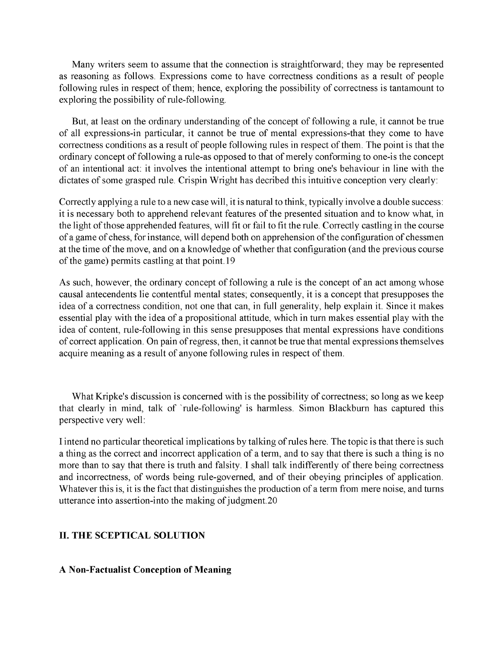Many writers seem to assume that the connection is straightforward; they may be represented as reasoning as follows. Expressions come to have correctness conditions as a result of people following rules in respect of them; hence, exploring the possibility of correctness is tantamount to exploring the possibility of rule-following.

But, at least on the ordinary understanding of the concept of following a rule, it cannot be true of all expressions-in particular, it cannot be true of mental expressions-that they come to have correctness conditions as a result of people following rules in respect of them. The point is that the ordinary concept of following a rule-as opposed to that of merely conforming to one-is the concept of an intentional act: it involves the intentional attempt to bring one's behaviour in line with the dictates of some grasped rule. Crispin Wright has decribed this intuitive conception very clearly:

Correctly applying a rule to a new case will, it is natural to think, typically involve a double success: it is necessary both to apprehend relevant features of the presented situation and to know what, in the light of those apprehended features, will fit or fail to fit the rule. Correctly castling in the course of a game of chess, for instance, will depend both on apprehension of the configuration of chessmen at the time of the move, and on a knowledge of whether that configuration (and the previous course of the game) permits castling at that point.19

As such, however, the ordinary concept of following a rule is the concept of an act among whose causal antecendents lie contentful mental states; consequently, it is a concept that presupposes the idea of a correctness condition, not one that can, in full generality, help explain it. Since it makes essential play with the idea of a propositional attitude, which in turn makes essential play with the idea of content, rule-following in this sense presupposes that mental expressions have conditions of correct application. On pain of regress, then, it cannot be true that mental expressionsthemselves acquire meaning as a result of anyone following rules in respect of them.

What Kripke's discussion is concerned with is the possibility of correctness; so long as we keep that clearly in mind, talk of 'rule-following' is harmless. Simon Blackburn has captured this perspective very well:

I intend no particular theoretical implications by talking of rules here. The topic is that there is such a thing as the correct and incorrect application of a term, and to say that there is such a thing is no more than to say that there is truth and falsity. I shall talk indifferently of there being correctness and incorrectness, of words being rule-governed, and of their obeying principles of application. Whatever this is, it is the fact that distinguishes the production of a term from mere noise, and turns utterance into assertion-into the making of judgment.20

# II. THE SCEPTICAL SOLUTION

# A Non-Factualist Conception of Meaning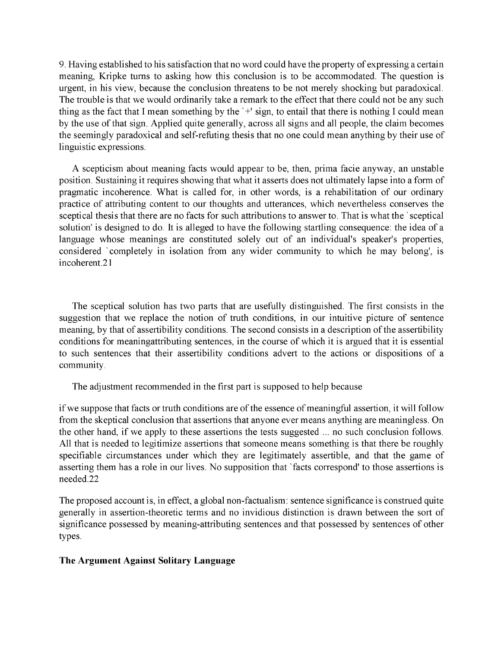9. Having established to his satisfaction that no word could have the property of expressing a certain meaning, Kripke turns to asking how this conclusion is to be accommodated. The question is urgent, in his view, because the conclusion threatens to be not merely shocking but paradoxical. The trouble is that we would ordinarily take a remark to the effect that there could not be any such thing as the fact that I mean something by the  $+$  sign, to entail that there is nothing I could mean by the use of that sign. Applied quite generally, across all signs and all people, the claim becomes the seemingly paradoxical and self-refuting thesis that no one could mean anything by their use of linguistic expressions.

A scepticism about meaning facts would appear to be, then, prima facie anyway, an unstable position. Sustaining it requires showing that what it asserts does not ultimately lapse into a form of pragmatic incoherence. What is called for, in other words, is a rehabilitation of our ordinary practice of attributing content to our thoughts and utterances, which nevertheless conserves the sceptical thesis that there are no facts for such attributions to answer to. That is what the 'sceptical solution' is designed to do. It is alleged to have the following startling consequence: the idea of a language whose meanings are constituted solely out of an individual's speaker's properties, considered 'completely in isolation from any wider community to which he may belong', is incoherent.21

The sceptical solution has two parts that are usefully distinguished. The first consists in the suggestion that we replace the notion of truth conditions, in our intuitive picture of sentence meaning, by that of assertibility conditions. The second consists in a description of the assertibility conditions for meaningattributing sentences, in the course of which it is argued that it is essential to such sentences that their assertibility conditions advert to the actions or dispositions of a community.

The adjustment recommended in the first part is supposed to help because

if we suppose that facts or truth conditions are of the essence of meaningful assertion, it will follow from the skeptical conclusion that assertions that anyone ever means anything are meaningless. On the other hand, if we apply to these assertions the tests suggested ... no such conclusion follows. All that is needed to legitimize assertions that someone means something is that there be roughly specifiable circumstances under which they are legitimately assertible, and that the game of asserting them has a role in our lives. No supposition that 'facts correspond' to those assertions is needed.22

The proposed account is, in effect, a global non-factualism: sentence significance is construed quite generally in assertion-theoretic terms and no invidious distinction is drawn between the sort of significance possessed by meaning-attributing sentences and that possessed by sentences of other types.

## The Argument Against Solitary Language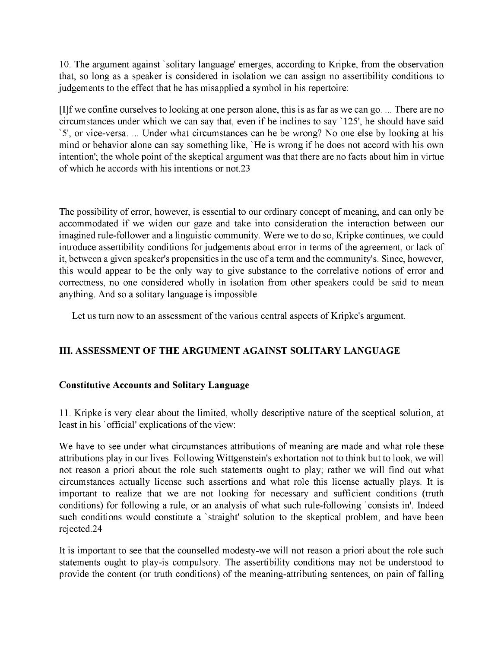10. The argument against 'solitary language' emerges, according to Kripke, from the observation that, so long as a speaker is considered in isolation we can assign no assertibility conditions to judgements to the effect that he has misapplied a symbol in his repertoire:

[I]fwe confine ourselves to looking at one person alone, this is as far as we can go. ... There are no circumstances under which we can say that, even if he inclines to say '125', he should have said '5', or vice-versa. ... Under what circumstances can he be wrong? No one else by looking at his mind or behavior alone can say something like, 'He is wrong if he does not accord with his own intention'; the whole point of the skeptical argument was that there are no facts about him in virtue ofwhich he accords with his intentions or not.23

The possibility of error, however, is essential to our ordinary concept of meaning, and can only be accommodated if we widen our gaze and take into consideration the interaction between our imagined rule-follower and a linguistic community. Were we to do so, Kripke continues, we could introduce assertibility conditions for judgements about error in terms of the agreement, or lack of it, between a given speaker's propensities in the use of a term and the community's. Since, however, this would appear to be the only way to give substance to the correlative notions of error and correctness, no one considered wholly in isolation from other speakers could be said to mean anything. And so a solitary language is impossible.

Let us turn now to an assessment of the various central aspects of Kripke's argument.

# III. ASSESSMENT OF THE ARGUMENT AGAINST SOLITARY LANGUAGE

# Constitutive Accounts and Solitary Language

11. Kripke is very clear about the limited, wholly descriptive nature ofthe sceptical solution, at least in his 'official' explications of the view:

We have to see under what circumstances attributions of meaning are made and what role these attributions play in our lives. Following Wittgenstein's exhortation not to think but to look, we will not reason a priori about the role such statements ought to play; rather we will find out what circumstances actually license such assertions and what role this license actually plays. It is important to realize that we are not looking for necessary and sufficient conditions (truth conditions) for following a rule, or an analysis of what such rule-following 'consists in'. Indeed such conditions would constitute a 'straight' solution to the skeptical problem, and have been rejected.24

It is important to see that the counselled modesty-we will not reason a priori about the role such statements ought to play-is compulsory. The assertibility conditions may not be understood to provide the content (or truth conditions) of the meaning-attributing sentences, on pain of falling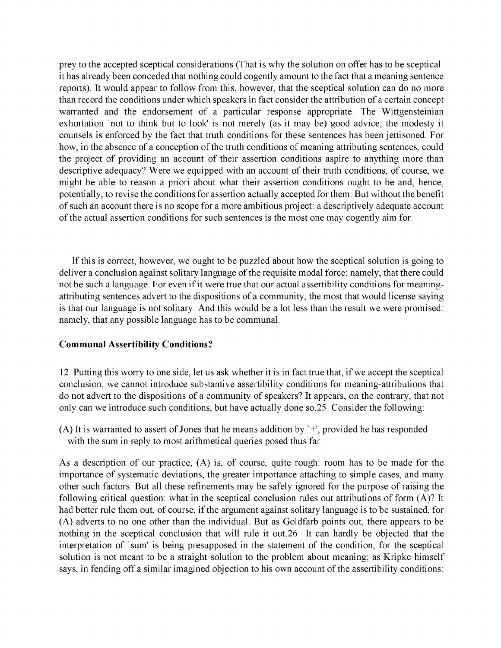prey to the accepted sceptical considerations (That is why the solution on offer has to be sceptical: it has already been conceded that nothing could cogently amount to the fact that a meaning sentence reports). It would appear to follow from this, however, that the sceptical solution can do no more than record the conditions under which speakers in fact consider the attribution of a certain concept warranted and the endorsement of a particular response appropriate. The Wittgensteinian exhortation 'not to think but to look' is not merely (as it may be) good advice; the modesty it counsels is enforced by the fact that truth conditions for these sentences has been jettisoned. For how, in the absence of a conception of the truth conditions of meaning attributing sentences, could the project of providing an account of their assertion conditions aspire to anything more than descriptive adequacy? Were we equipped with an account of their truth conditions, of course, we might be able to reason a priori about what their assertion conditions ought to be and, hence, potentially, to revise the conditions for assertion actually accepted for them. But without the benefit of such an account there is no scope for a more ambitious project: a descriptively adequate account of the actual assertion conditions for such sentences is the most one may cogently aim for.

If this is correct, however, we ought to be puzzled about how the sceptical solution is going to deliver a conclusion against solitary language of the requisite modal force: namely, that there could not be such a language. For even if it were true that our actual assertibility conditions for meaningattributing sentences advert to the dispositions of a community, the most that would license saying is that our language is not solitary. And this would be a lot less than the result we were promised: namely, that any possible language has to be communal.

# Communal Assertibility Conditions?

12. Putting this worry to one side, let us ask whether it is in fact true that, if we accept the sceptical conclusion, we cannot introduce substantive assertibility conditions for meaning-attributions that do not advert to the dispositions of a community of speakers? It appears, on the contrary, that not only can we introduce such conditions, but have actually done so.25 Consider the following:

(A) It is warranted to assert of Jones that he means addition by  $+$ , provided he has responded with the sum in reply to most arithmetical queries posed thus far.

As a description of our practice, (A) is, of course, quite rough: room has to be made for the importance of systematic deviations, the greater importance attaching to simple cases, and many other such factors. But all these refinements may be safely ignored for the purpose of raising the following critical question: what in the sceptical conclusion rules out attributions of form (A)? It had better rule them out, of course, if the argument against solitary language is to be sustained, for (A) adverts to no one other than the individual. But as Goldfarb points out, there appears to be nothing in the sceptical conclusion that will rule it out.26 It can hardly be objected that the interpretation of 'sum' is being presupposed in the statement of the condition, for the sceptical solution is not meant to be a straight solution to the problem about meaning; as Kripke himself says, in fending off a similar imagined objection to his own account of the assertibility conditions: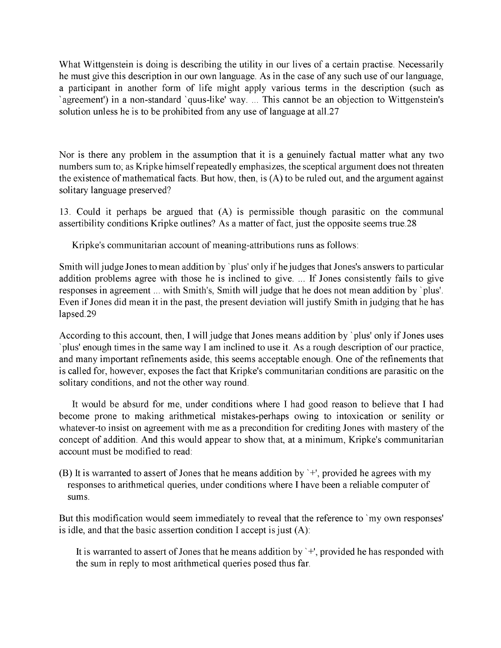What Wittgenstein is doing is describing the utility in our lives of a certain practise. Necessarily he must give this description in our own language. As in the case of any such use of our language, a participant in another form of life might apply various terms in the description (such as 'agreement') in a non-standard 'quus-like' way. ... This cannot be an objection to Wittgenstein's solution unless he is to be prohibited from any use of language at all.27

Nor is there any problem in the assumption that it is a genuinely factual matter what any two numbers sum to; as Kripke himself repeatedly emphasizes, the sceptical argument does not threaten the existence of mathematical facts. But how, then, is  $(A)$  to be ruled out, and the argument against solitary language preserved?

13. Could it perhaps be argued that (A) is permissible though parasitic on the communal assertibility conditions Kripke outlines? As a matter of fact, just the opposite seems true.28

Kripke's communitarian account of meaning-attributions runs as follows:

Smith will judge Jones to mean addition by 'plus' only if he judges that Jones's answers to particular addition problems agree with those he is inclined to give. ... If Jones consistently fails to give responses in agreement ... with Smith's, Smith will judge that he does not mean addition by 'plus'. Even if Jones did mean it in the past, the present deviation will justify Smith in judging that he has lapsed.29

According to this account, then, I will judge that Jones means addition by 'plus' only if Jones uses 'plus' enough times in the same way I am inclined to use it. As a rough description of our practice, and many important refinements aside, this seems acceptable enough. One of the refinements that is called for, however, exposes the fact that Kripke's communitarian conditions are parasitic on the solitary conditions, and not the other way round.

It would be absurd for me, under conditions where I had good reason to believe that I had become prone to making arithmetical mistakes-perhaps owing to intoxication or senility or whatever-to insist on agreement with me as a precondition for crediting Jones with mastery of the concept of addition. And this would appear to show that, at a minimum, Kripke's communitarian account must be modified to read:

(B) It is warranted to assert of Jones that he means addition by  $+$ , provided he agrees with my responses to arithmetical queries, under conditions where I have been a reliable computer of sums.

But this modification would seem immediately to reveal that the reference to 'my own responses' is idle, and that the basic assertion condition I accept is just (A):

It is warranted to assert of Jones that he means addition by  $+$ , provided he has responded with the sum in reply to most arithmetical queries posed thus far.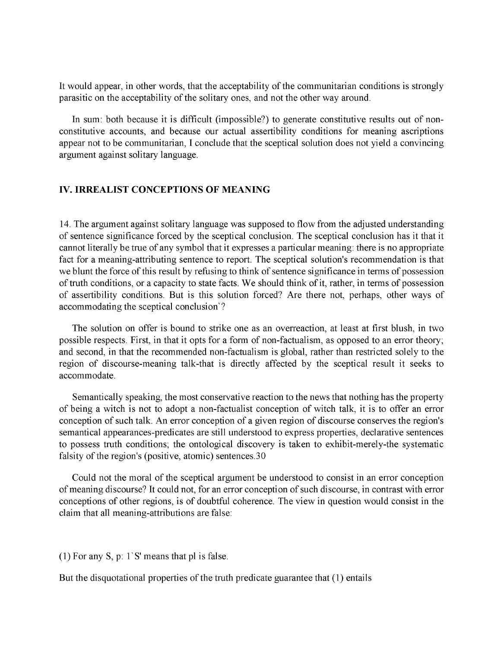It would appear, in other words, that the acceptability of the communitarian conditions is strongly parasitic on the acceptability of the solitary ones, and not the other way around.

In sum: both because it is difficult (impossible?) to generate constitutive results out of nonconstitutive accounts, and because our actual assertibility conditions for meaning ascriptions appear not to be communitarian, I conclude that the sceptical solution does not yield a convincing argument against solitary language.

## IV. IRREALIST CONCEPTIONS OF MEANING

14. The argument against solitary language was supposed to flow from the adjusted understanding of sentence significance forced by the sceptical conclusion. The sceptical conclusion has it that it cannot literally be true of any symbol that it expresses a particular meaning: there is no appropriate fact for a meaning-attributing sentence to report. The sceptical solution's recommendation is that we blunt the force of this result by refusing to think of sentence significance in terms of possession of truth conditions, or a capacity to state facts. We should think of it, rather, in terms of possession of assertibility conditions. But is this solution forced? Are there not, perhaps, other ways of accommodating the sceptical conclusion'?

The solution on offer is bound to strike one as an overreaction, at least at first blush, in two possible respects. First, in that it opts for a form of non-factualism, as opposed to an error theory; and second, in that the recommended non-factualism is global, rather than restricted solely to the region of discourse-meaning talk-that is directly affected by the sceptical result it seeks to accommodate.

Semantically speaking, the most conservative reaction to the news that nothing has the property of being a witch is not to adopt a non-factualist conception of witch talk, it is to offer an error conception of such talk. An error conception of a given region of discourse conserves the region's semantical appearances-predicates are still understood to express properties, declarative sentences to possess truth conditions; the ontological discovery is taken to exhibit-merely-the systematic falsity of the region's (positive, atomic) sentences.30

Could not the moral of the sceptical argument be understood to consist in an error conception of meaning discourse? It could not, for an error conception of such discourse, in contrast with error conceptions of other regions, is of doubtful coherence. The view in question would consist in the claim that all meaning-attributions are false:

(1) For any S, p: 1'S' means that pl is false.

But the disquotational properties of the truth predicate guarantee that  $(1)$  entails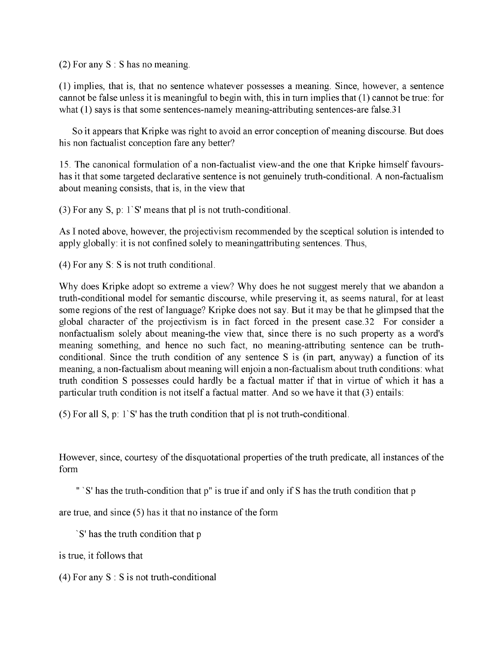(2) For any S : S has no meaning.

(1) implies, that is, that no sentence whatever possesses a meaning. Since, however, a sentence cannot be false unless it is meaningful to begin with, this in turn implies that (1) cannot be true: for what (1) says is that some sentences-namely meaning-attributing sentences-are false.31

So it appears that Kripke was right to avoid an error conception of meaning discourse. But does his non factualist conception fare any better?

15. The canonical formulation of a non-factualist view-and the one that Kripke himself favourshas it that some targeted declarative sentence is not genuinely truth-conditional. A non-factualism about meaning consists, that is, in the view that

(3) For any S, p: 1'S' means that pl is not truth-conditional.

As I noted above, however, the projectivism recommended by the sceptical solution is intended to apply globally: it is not confined solely to meaningattributing sentences. Thus,

(4) For any S: S is not truth conditional.

Why does Kripke adopt so extreme a view? Why does he not suggest merely that we abandon a truth-conditional model for semantic discourse, while preserving it, as seems natural, for at least some regions of the rest of language? Kripke does not say. But it may be that he glimpsed that the global character of the projectivism is in fact forced in the present case.32 For consider a nonfactualism solely about meaning-the view that, since there is no such property as a word's meaning something, and hence no such fact, no meaning-attributing sentence can be truthconditional. Since the truth condition of any sentence S is (in part, anyway) a function of its meaning, a non-factualism about meaning will enjoin a non-factualism about truth conditions: what truth condition S possesses could hardly be a factual matter if that in virtue of which it has a particular truth condition is not itself a factual matter. And so we have it that (3) entails:

(5) For all S, p: 1'S' has the truth condition that pl is not truth-conditional.

However, since, courtesy of the disquotational properties of the truth predicate, all instances of the form

" 'S' has the truth-condition that p" is true if and only if S has the truth condition that p

are true, and since (5) has it that no instance of the form

'S' has the truth condition that p

is true, it follows that

(4) For any  $S : S$  is not truth-conditional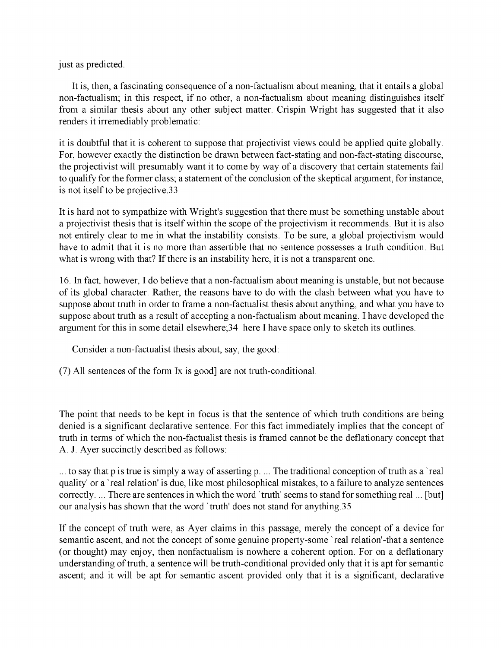just as predicted.

It is, then, a fascinating consequence of a non-factualism about meaning, that it entails a global non-factualism; in this respect, if no other, a non-factualism about meaning distinguishes itself from a similar thesis about any other subject matter. Crispin Wright has suggested that it also renders it irremediably problematic:

it is doubtful that it is coherent to suppose that projectivist views could be applied quite globally. For, however exactly the distinction be drawn between fact-stating and non-fact-stating discourse, the projectivist will presumably want it to come by way of a discovery that certain statements fail to qualify for the former class; a statement of the conclusion of the skeptical argument, for instance, is not itself to be projective.33

It is hard not to sympathize with Wright's suggestion that there must be something unstable about a projectivist thesis that is itself within the scope of the projectivism it recommends. But it is also not entirely clear to me in what the instability consists. To be sure, a global projectivism would have to admit that it is no more than assertible that no sentence possesses a truth condition. But what is wrong with that? If there is an instability here, it is not a transparent one.

16. In fact, however, I do believe that a non-factualism about meaning is unstable, but not because of its global character. Rather, the reasons have to do with the clash between what you have to suppose about truth in order to frame a non-factualist thesis about anything, and what you have to suppose about truth as a result of accepting a non-factualism about meaning. I have developed the argument for this in some detail elsewhere;34 here I have space only to sketch its outlines.

Consider a non-factualist thesis about, say, the good:

(7) All sentences of the form Ix is good] are not truth-conditional.

The point that needs to be kept in focus is that the sentence of which truth conditions are being denied is a significant declarative sentence. For this fact immediately implies that the concept of truth in terms of which the non-factualist thesis is framed cannot be the deflationary concept that A. J. Ayer succinctly described as follows:

... to say that p is true is simply a way of asserting p. ... The traditional conception of truth as a 'real quality' or a 'real relation' is due, like most philosophical mistakes, to a failure to analyze sentences correctly. ... There are sentences in which the word 'truth' seems to stand for something real ... [but] our analysis has shown that the word 'truth' does not stand for anything.35

If the concept of truth were, as Ayer claims in this passage, merely the concept of a device for semantic ascent, and not the concept of some genuine property-some 'real relation'-that a sentence (or thought) may enjoy, then nonfactualism is nowhere a coherent option. For on a deflationary understanding of truth, a sentence will be truth-conditional provided only that it is apt for semantic ascent; and it will be apt for semantic ascent provided only that it is a significant, declarative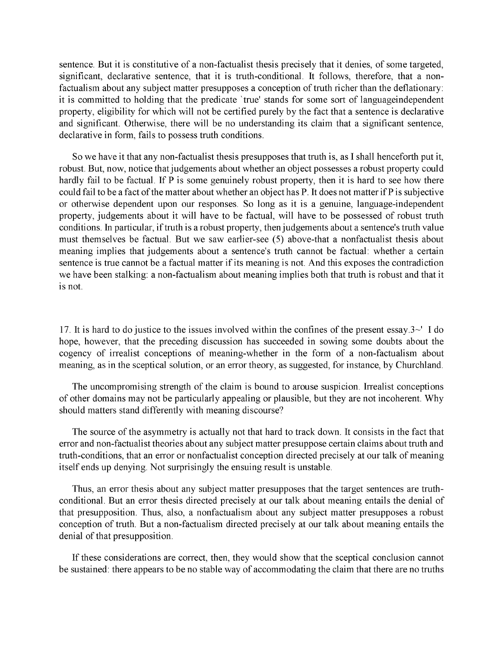sentence. But it is constitutive of a non-factualist thesis precisely that it denies, of some targeted, significant, declarative sentence, that it is truth-conditional. It follows, therefore, that a nonfactualism about any subject matter presupposes a conception of truth richer than the deflationary: it is committed to holding that the predicate 'true' stands for some sort of languageindependent property, eligibility for which will not be certified purely by the fact that a sentence is declarative and significant. Otherwise, there will be no understanding its claim that a significant sentence, declarative in form, fails to possess truth conditions.

So we have it that any non-factualist thesis presupposes that truth is, as I shall henceforth put it, robust. But, now, notice that judgements about whether an object possesses a robust property could hardly fail to be factual. If  $P$  is some genuinely robust property, then it is hard to see how there could fail to be a fact of the matter about whether an object has P. It does not matter if P is subjective or otherwise dependent upon our responses. So long as it is a genuine, language-independent property, judgements about it will have to be factual, will have to be possessed of robust truth conditions. In particular, if truth is a robust property, then judgements about a sentence's truth value must themselves be factual. But we saw earlier-see (5) above-that a nonfactualist thesis about meaning implies that judgements about a sentence's truth cannot be factual: whether a certain sentence is true cannot be a factual matter if its meaning is not. And this exposes the contradiction we have been stalking: a non-factualism about meaning implies both that truth is robust and that it is not.

17. It is hard to do justice to the issues involved within the confines of the present essay. $3~\text{--}$ ' I do hope, however, that the preceding discussion has succeeded in sowing some doubts about the cogency of irrealist conceptions of meaning-whether in the form of a non-factualism about meaning, as in the sceptical solution, or an error theory, as suggested, for instance, by Churchland.

The uncompromising strength of the claim is bound to arouse suspicion. Irrealist conceptions ofother domains may not be particularly appealing or plausible, but they are not incoherent. Why should matters stand differently with meaning discourse?

The source of the asymmetry is actually not that hard to track down. It consists in the fact that error and non-factualist theories about any subject matter presuppose certain claims about truth and truth-conditions, that an error or nonfactualist conception directed precisely at our talk of meaning itself ends up denying. Not surprisingly the ensuing result is unstable.

Thus, an error thesis about any subject matter presupposes that the target sentences are truthconditional. But an error thesis directed precisely at our talk about meaning entails the denial of that presupposition. Thus, also, a nonfactualism about any subject matter presupposes a robust conception of truth. But a non-factualism directed precisely at our talk about meaning entails the denial of that presupposition.

If these considerations are correct, then, they would show that the sceptical conclusion cannot be sustained: there appears to be no stable way of accommodating the claim that there are no truths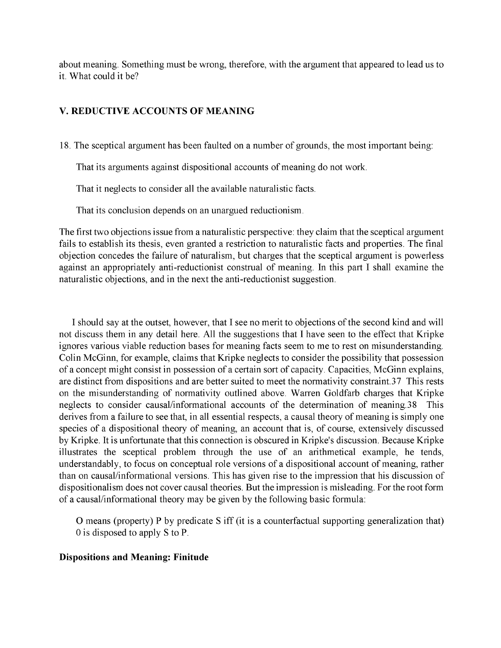about meaning. Something must be wrong, therefore, with the argument that appeared to lead us to it. What could it be?

# V. REDUCTIVE ACCOUNTS OF MEANING

18. The sceptical argument has been faulted on a number of grounds, the most important being:

That its arguments against dispositional accounts of meaning do not work.

That it neglects to consider all the available naturalistic facts.

That its conclusion depends on an unargued reductionism.

The first two objections issue from a naturalistic perspective: they claim that the sceptical argument fails to establish its thesis, even granted a restriction to naturalistic facts and properties. The final objection concedes the failure of naturalism, but charges that the sceptical argument is powerless against an appropriately anti-reductionist construal of meaning. In this part I shall examine the naturalistic objections, and in the next the anti-reductionist suggestion.

I should say at the outset, however, that I see no merit to objections of the second kind and will not discuss them in any detail here. All the suggestions that I have seen to the effect that Kripke ignores various viable reduction bases for meaning facts seem to me to rest on misunderstanding. Colin McGinn, for example, claims that Kripke neglects to consider the possibility that possession of a concept might consist in possession of a certain sort of capacity. Capacities, McGinn explains, are distinct from dispositions and are better suited to meet the normativity constraint.37 This rests on the misunderstanding of normativity outlined above. Warren Goldfarb charges that Kripke neglects to consider causal/informational accounts of the determination of meaning.38 This derives from a failure to see that, in all essential respects, a causal theory of meaning is simply one species of a dispositional theory of meaning, an account that is, of course, extensively discussed by Kripke. It is unfortunate that this connection is obscured in Kripke's discussion. Because Kripke illustrates the sceptical problem through the use of an arithmetical example, he tends, understandably, to focus on conceptual role versions of a dispositional account of meaning, rather than on causal/informational versions. This has given rise to the impression that his discussion of dispositionalism does not cover causal theories. But the impression is misleading. For the root form of a causal/informational theory may be given by the following basic formula:

O means (property) P by predicate S iff (it is a counterfactual supporting generalization that) 0 is disposed to apply S to P.

## Dispositions and Meaning: Finitude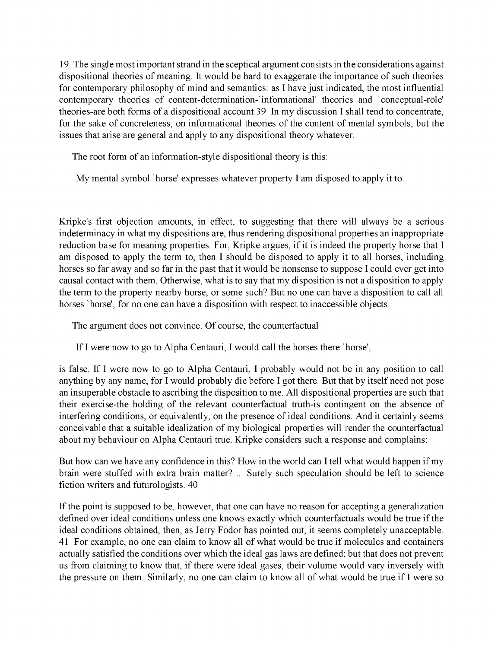19. The single most important strand in the sceptical argument consists in the considerations against dispositional theories of meaning. It would be hard to exaggerate the importance of such theories for contemporary philosophy of mind and semantics: as I have just indicated, the most influential contemporary theories of content-determination-'informational' theories and 'conceptual-role' theories-are both forms of a dispositional account.39 In my discussion I shall tend to concentrate, for the sake of concreteness, on informational theories of the content of mental symbols; but the issues that arise are general and apply to any dispositional theory whatever.

The root form of an information-style dispositional theory is this:

My mental symbol 'horse' expresses whatever property I am disposed to apply it to.

Kripke's first objection amounts, in effect, to suggesting that there will always be a serious indeterminacy in what my dispositions are, thus rendering dispositional properties an inappropriate reduction base for meaning properties. For, Kripke argues, if it is indeed the property horse that I am disposed to apply the term to, then I should be disposed to apply it to all horses, including horses so far away and so far in the past that it would be nonsense to suppose I could ever get into causal contact with them. Otherwise, what is to say that my disposition is not a disposition to apply the term to the property nearby horse, or some such? But no one can have a disposition to call all horses 'horse', for no one can have a disposition with respect to inaccessible objects.

The argument does not convince. Of course, the counterfactual

IfI were now to go to Alpha Centauri, I would call the horses there 'horse',

is false. If I were now to go to Alpha Centauri, I probably would not be in any position to call anything by any name, for I would probably die before I got there. But that by itself need not pose an insuperable obstacle to ascribing the disposition to me. All dispositional properties are such that their exercise-the holding of the relevant counterfactual truth-is contingent on the absence of interfering conditions, or equivalently, on the presence of ideal conditions. And it certainly seems conceivable that a suitable idealization of my biological properties will render the counterfactual about my behaviour on Alpha Centauri true. Kripke considers such a response and complains:

But how can we have any confidence in this? How in the world can I tell what would happen if my brain were stuffed with extra brain matter? ... Surely such speculation should be left to science fiction writers and futurologists. 40

Ifthe point is supposed to be, however, that one can have no reason for accepting a generalization defined over ideal conditions unless one knows exactly which counterfactuals would be true if the ideal conditions obtained, then, as Jerry Fodor has pointed out, it seems completely unacceptable. 41 For example, no one can claim to know all of what would be true if molecules and containers actually satisfied the conditions over which the ideal gas laws are defined; but that does not prevent us from claiming to know that, if there were ideal gases, their volume would vary inversely with the pressure on them. Similarly, no one can claim to know all of what would be true if I were so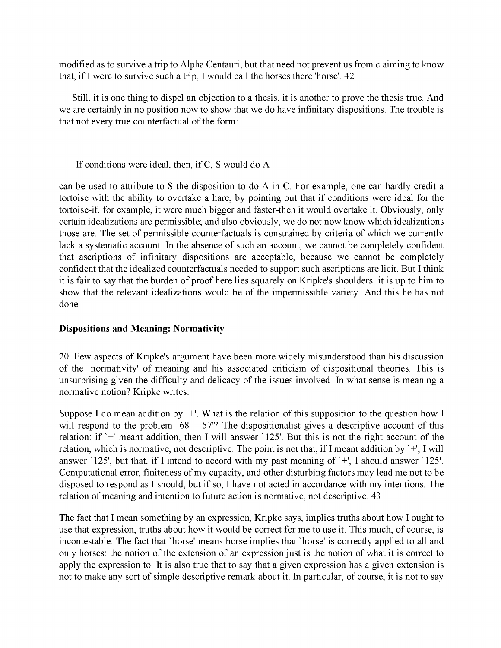modified as to survive a trip to Alpha Centauri; but that need not prevent us from claiming to know that, if I were to survive such a trip, I would call the horses there 'horse'. 42

Still, it is one thing to dispel an objection to a thesis, it is another to prove the thesis true. And we are certainly in no position now to show that we do have infinitary dispositions. The trouble is that not every true counterfactual of the form:

If conditions were ideal, then, if C, S would do A

can be used to attribute to S the disposition to do A in C. For example, one can hardly credit a tortoise with the ability to overtake a hare, by pointing out that if conditions were ideal for the tortoise-if, for example, it were much bigger and faster-then it would overtake it. Obviously, only certain idealizations are permissible; and also obviously, we do not now know which idealizations those are. The set of permissible counterfactuals is constrained by criteria of which we currently lack a systematic account. In the absence of such an account, we cannot be completely confident that ascriptions of infinitary dispositions are acceptable, because we cannot be completely confident that the idealized counterfactuals needed to support such ascriptions are licit. But I think it is fair to say that the burden of proof here lies squarely on Kripke's shoulders: it is up to him to show that the relevant idealizations would be of the impermissible variety. And this he has not done.

# Dispositions and Meaning: Normativity

20. Few aspects of Kripke's argument have been more widely misunderstood than his discussion of the 'normativity' of meaning and his associated criticism of dispositional theories. This is unsurprising given the difficulty and delicacy of the issues involved. In what sense is meaning a normative notion? Kripke writes:

Suppose I do mean addition by '+'. What is the relation of this supposition to the question how I will respond to the problem '68 + 57'? The dispositionalist gives a descriptive account of this relation: if '+' meant addition, then I will answer '125'. But this is not the right account of the relation, which is normative, not descriptive. The point is not that, if I meant addition by '+', I will answer '125', but that, if I intend to accord with my past meaning of '+', I should answer '125'. Computational error, finiteness of my capacity, and other disturbing factors may lead me not to be disposed to respond as I should, but if so, I have not acted in accordance with my intentions. The relation of meaning and intention to future action is normative, not descriptive. 43

The fact that I mean something by an expression, Kripke says, implies truths about how I ought to use that expression, truths about how it would be correct for me to use it. This much, of course, is incontestable. The fact that 'horse' means horse implies that 'horse' is correctly applied to all and only horses: the notion of the extension of an expression just is the notion of what it is correct to apply the expression to. It is also true that to say that a given expression has a given extension is not to make any sort of simple descriptive remark about it. In particular, of course, it is not to say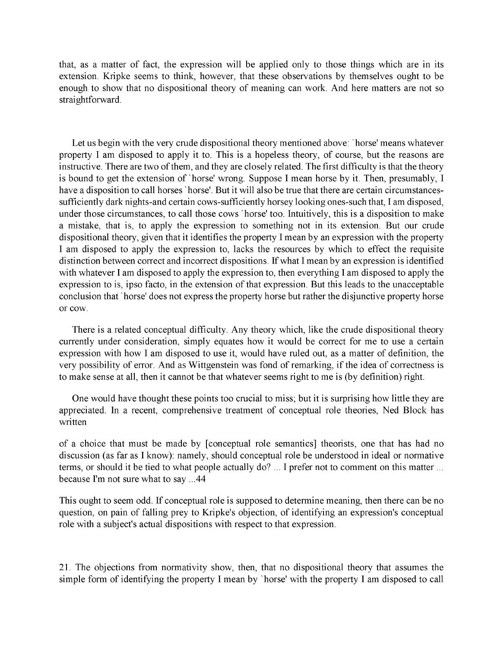that, as a matter of fact, the expression will be applied only to those things which are in its extension. Kripke seems to think, however, that these observations by themselves ought to be enough to show that no dispositional theory of meaning can work. And here matters are not so straightforward.

Let us begin with the very crude dispositional theory mentioned above: 'horse' means whatever property I am disposed to apply it to. This is a hopeless theory, of course, but the reasons are instructive. There are two of them, and they are closely related. The first difficulty is that the theory is bound to get the extension of'horse' wrong. Suppose I mean horse by it. Then, presumably, I have a disposition to call horses 'horse'. But it will also be true that there are certain circumstancessufficiently dark nights-and certain cows-sufficiently horsey looking ones-such that, I am disposed, under those circumstances, to call those cows 'horse' too. Intuitively, this is a disposition to make a mistake, that is, to apply the expression to something not in its extension. But our crude dispositional theory, given that it identifies the property I mean by an expression with the property I am disposed to apply the expression to, lacks the resources by which to effect the requisite distinction between correct and incorrect dispositions. If what I mean by an expression is identified with whatever I am disposed to apply the expression to, then everything I am disposed to apply the expression to is, ipso facto, in the extension of that expression. But this leads to the unacceptable conclusion that 'horse' does not express the property horse but rather the disjunctive property horse or cow.

There is a related conceptual difficulty. Any theory which, like the crude dispositional theory currently under consideration, simply equates how it would be correct for me to use a certain expression with how I am disposed to use it, would have ruled out, as a matter of definition, the very possibility of error. And as Wittgenstein was fond of remarking, if the idea of correctness is to make sense at all, then it cannot be that whatever seems right to me is (by definition) right.

One would have thought these points too crucial to miss; but it is surprising how little they are appreciated. In a recent, comprehensive treatment of conceptual role theories, Ned Block has written

of a choice that must be made by [conceptual role semantics] theorists, one that has had no discussion (as far as I know): namely, should conceptual role be understood in ideal or normative terms, or should it be tied to what people actually do? ... I prefer not to comment on this matter ... because I'm not sure what to say ...44

This ought to seem odd. If conceptual role is supposed to determine meaning, then there can be no question, on pain of falling prey to Kripke's objection, of identifying an expression's conceptual role with a subject's actual dispositions with respect to that expression.

21. The objections from normativity show, then, that no dispositional theory that assumes the simple form of identifying the property I mean by 'horse' with the property I am disposed to call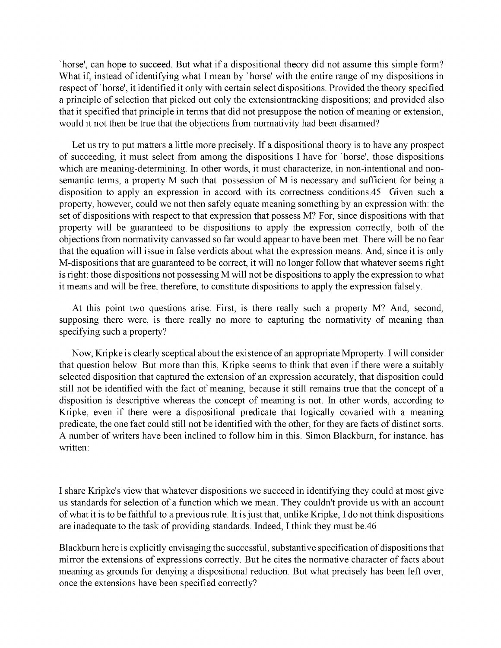'horse', can hope to succeed. But what if a dispositional theory did not assume this simple form? What if, instead of identifying what I mean by 'horse' with the entire range of my dispositions in respect of'horse', it identified it only with certain select dispositions. Provided the theory specified a principle of selection that picked out only the extensiontracking dispositions; and provided also that it specified that principle in terms that did not presuppose the notion of meaning or extension, would it not then be true that the objections from normativity had been disarmed?

Let us try to put matters a little more precisely. If a dispositional theory is to have any prospect of succeeding, it must select from among the dispositions I have for 'horse', those dispositions which are meaning-determining. In other words, it must characterize, in non-intentional and nonsemantic terms, a property M such that: possession of M is necessary and sufficient for being a disposition to apply an expression in accord with its correctness conditions.45 Given such a property, however, could we not then safely equate meaning something by an expression with: the set of dispositions with respect to that expression that possess M? For, since dispositions with that property will be guaranteed to be dispositions to apply the expression correctly, both of the objections from normativity canvassed so far would appear to have been met. There will be no fear that the equation will issue in false verdicts about what the expression means. And, since it is only M-dispositions that are guaranteed to be correct, it will no longer follow that whatever seems right is right: those dispositions not possessing M will not be dispositions to apply the expression to what it means and will be free, therefore, to constitute dispositions to apply the expression falsely.

At this point two questions arise. First, is there really such a property M? And, second, supposing there were, is there really no more to capturing the normativity of meaning than specifying such a property?

Now, Kripke is clearly sceptical about the existence of an appropriate Mproperty. I will consider that question below. But more than this, Kripke seems to think that even if there were a suitably selected disposition that captured the extension of an expression accurately, that disposition could still not be identified with the fact of meaning, because it still remains true that the concept of a disposition is descriptive whereas the concept of meaning is not. In other words, according to Kripke, even if there were a dispositional predicate that logically covaried with a meaning predicate, the one fact could still not be identified with the other, for they are facts of distinct sorts. A number of writers have been inclined to follow him in this. Simon Blackburn, for instance, has written:

I share Kripke's view that whatever dispositions we succeed in identifying they could at most give us standards for selection of a function which we mean. They couldn't provide us with an account ofwhat it is to be faithful to a previous rule. It is just that, unlike Kripke, I do not think dispositions are inadequate to the task of providing standards. Indeed, I think they must be.46

Blackburn here is explicitly envisaging the successful, substantive specification of dispositions that mirror the extensions of expressions correctly. But he cites the normative character of facts about meaning as grounds for denying a dispositional reduction. But what precisely has been left over, once the extensions have been specified correctly?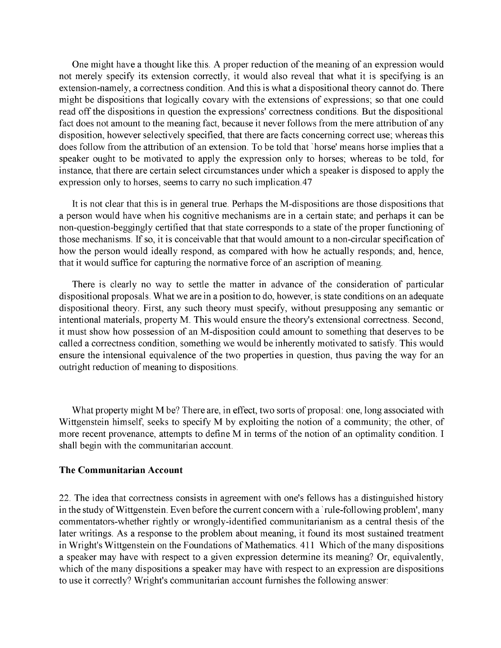One might have a thought like this. A proper reduction of the meaning of an expression would not merely specify its extension correctly, it would also reveal that what it is specifying is an extension-namely, a correctness condition. And this is what a dispositional theory cannot do. There might be dispositions that logically covary with the extensions of expressions; so that one could read off the dispositions in question the expressions' correctness conditions. But the dispositional fact does not amount to the meaning fact, because it never follows from the mere attribution of any disposition, however selectively specified, that there are facts concerning correct use; whereas this does follow from the attribution of an extension. To be told that 'horse' means horse implies that a speaker ought to be motivated to apply the expression only to horses; whereas to be told, for instance, that there are certain select circumstances under which a speaker is disposed to apply the expression only to horses, seems to carry no such implication.47

It is not clear that this is in general true. Perhaps the M-dispositions are those dispositions that a person would have when his cognitive mechanisms are in a certain state; and perhaps it can be non-question-beggingly certified that that state corresponds to a state of the proper functioning of those mechanisms. If so, it is conceivable that that would amount to a non-circular specification of how the person would ideally respond, as compared with how he actually responds; and, hence, that it would suffice for capturing the normative force of an ascription of meaning.

There is clearly no way to settle the matter in advance of the consideration of particular dispositional proposals. What we are in a position to do, however, is state conditions on an adequate dispositional theory. First, any such theory must specify, without presupposing any semantic or intentional materials, property M. This would ensure the theory's extensional correctness. Second, it must show how possession of an M-disposition could amount to something that deserves to be called a correctness condition, something we would be inherently motivated to satisfy. This would ensure the intensional equivalence of the two properties in question, thus paving the way for an outright reduction of meaning to dispositions.

What property might M be? There are, in effect, two sorts of proposal: one, long associated with Wittgenstein himself, seeks to specify M by exploiting the notion of a community; the other, of more recent provenance, attempts to define M in terms of the notion of an optimality condition. I shall begin with the communitarian account.

#### The Communitarian Account

22. The idea that correctness consists in agreement with one's fellows has a distinguished history in the study of Wittgenstein. Even before the current concern with a 'rule-following problem', many commentators-whether rightly or wrongly-identified communitarianism as a central thesis of the later writings. As a response to the problem about meaning, it found its most sustained treatment in Wright's Wittgenstein on the Foundations of Mathematics. 411 Which of the many dispositions a speaker may have with respect to a given expression determine its meaning? Or, equivalently, which of the many dispositions a speaker may have with respect to an expression are dispositions to use it correctly? Wright's communitarian account furnishes the following answer: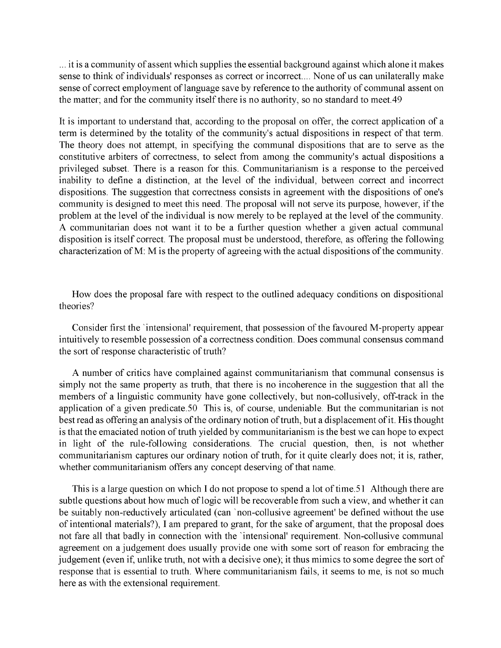... it is a community of assent which supplies the essential background against which alone it makes sense to think of individuals' responses as correct or incorrect.... None of us can unilaterally make sense of correct employment of language save by reference to the authority of communal assent on the matter; and for the community itself there is no authority, so no standard to meet.49

It is important to understand that, according to the proposal on offer, the correct application of a term is determined by the totality of the community's actual dispositions in respect of that term. The theory does not attempt, in specifying the communal dispositions that are to serve as the constitutive arbiters of correctness, to select from among the community's actual dispositions a privileged subset. There is a reason for this. Communitarianism is a response to the perceived inability to define a distinction, at the level of the individual, between correct and incorrect dispositions. The suggestion that correctness consists in agreement with the dispositions of one's community is designed to meet this need. The proposal will not serve its purpose, however, if the problem at the level of the individual is now merely to be replayed at the level of the community. A communitarian does not want it to be a further question whether a given actual communal disposition is itself correct. The proposal must be understood, therefore, as offering the following characterization of M: M isthe property of agreeing with the actual dispositions of the community.

How does the proposal fare with respect to the outlined adequacy conditions on dispositional theories?

Consider first the 'intensional' requirement, that possession of the favoured M-property appear intuitively to resemble possession of a correctness condition. Does communal consensus command the sort of response characteristic of truth?

A number of critics have complained against communitarianism that communal consensus is simply not the same property as truth, that there is no incoherence in the suggestion that all the members of a linguistic community have gone collectively, but non-collusively, off-track in the application of a given predicate.50 This is, of course, undeniable. But the communitarian is not best read as offering an analysis of the ordinary notion of truth, but a displacement of it. His thought is that the emaciated notion of truth yielded by communitarianism is the best we can hope to expect in light of the rule-following considerations. The crucial question, then, is not whether communitarianism captures our ordinary notion of truth, for it quite clearly does not; it is, rather, whether communitarianism offers any concept deserving of that name.

This is a large question on which I do not propose to spend a lot of time.51 Although there are subtle questions about how much of logic will be recoverable from such a view, and whether it can be suitably non-reductively articulated (can 'non-collusive agreement' be defined without the use of intentional materials?), I am prepared to grant, for the sake of argument, that the proposal does not fare all that badly in connection with the 'intensional' requirement. Non-collusive communal agreement on a judgement does usually provide one with some sort of reason for embracing the judgement (even if, unlike truth, not with a decisive one); it thus mimics to some degree the sort of response that is essential to truth. Where communitarianism fails, it seems to me, is not so much here as with the extensional requirement.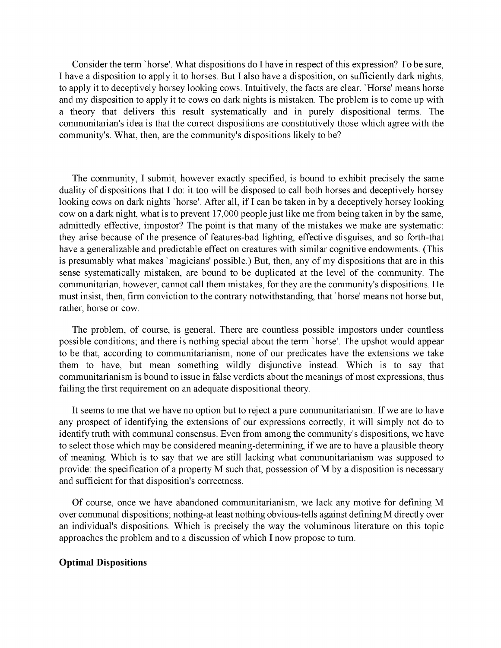Consider the term 'horse'. What dispositions do I have in respect of this expression? To be sure, I have a disposition to apply it to horses. But I also have a disposition, on sufficiently dark nights, to apply it to deceptively horsey looking cows. Intuitively, the facts are clear. 'Horse' means horse and my disposition to apply it to cows on dark nights is mistaken. The problem is to come up with a theory that delivers this result systematically and in purely dispositional terms. The communitarian's idea is that the correct dispositions are constitutively those which agree with the community's. What, then, are the community's dispositions likely to be?

The community, I submit, however exactly specified, is bound to exhibit precisely the same duality of dispositions that I do: it too will be disposed to call both horses and deceptively horsey looking cows on dark nights 'horse'. After all, if I can be taken in by a deceptively horsey looking cow on a dark night, what is to prevent 17,000 people just like me from being taken in by the same, admittedly effective, impostor? The point is that many of the mistakes we make are systematic: they arise because of the presence of features-bad lighting, effective disguises, and so forth-that have a generalizable and predictable effect on creatures with similar cognitive endowments. (This is presumably what makes 'magicians' possible.) But, then, any of my dispositions that are in this sense systematically mistaken, are bound to be duplicated at the level of the community. The communitarian, however, cannot call them mistakes, for they are the community's dispositions. He must insist, then, firm conviction to the contrary notwithstanding, that 'horse' means not horse but, rather, horse or cow.

The problem, of course, is general. There are countless possible impostors under countless possible conditions; and there is nothing special about the term 'horse'. The upshot would appear to be that, according to communitarianism, none of our predicates have the extensions we take them to have, but mean something wildly disjunctive instead. Which is to say that communitarianism is bound to issue in false verdicts about the meanings of most expressions, thus failing the first requirement on an adequate dispositional theory.

It seems to me that we have no option but to reject a pure communitarianism. If we are to have any prospect of identifying the extensions of our expressions correctly, it will simply not do to identify truth with communal consensus. Even from among the community's dispositions, we have to select those which may be considered meaning-determining, if we are to have a plausible theory of meaning. Which is to say that we are still lacking what communitarianism was supposed to provide: the specification of a property M such that, possession of M by a disposition is necessary and sufficient for that disposition's correctness.

Of course, once we have abandoned communitarianism, we lack any motive for defining M over communal dispositions; nothing-at least nothing obvious-tells against defining M directly over an individual's dispositions. Which is precisely the way the voluminous literature on this topic approaches the problem and to a discussion of which I now propose to turn.

## Optimal Dispositions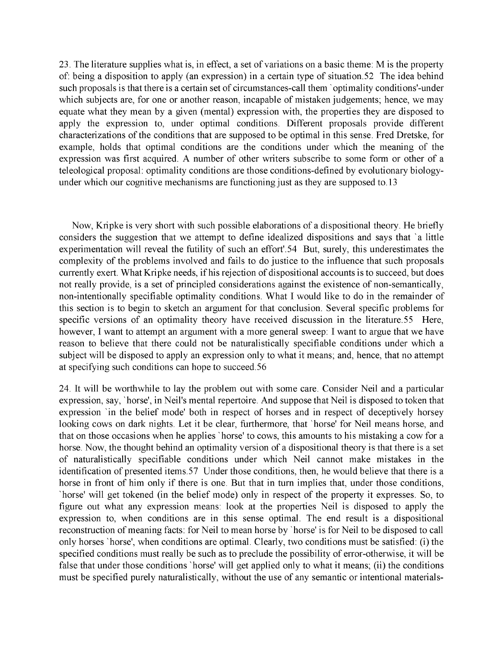23. The literature supplies what is, in effect, a set of variations on a basic theme: M is the property of: being a disposition to apply (an expression) in a certain type of situation.52 The idea behind such proposals is that there is a certain set of circumstances-call them 'optimality conditions'-under which subjects are, for one or another reason, incapable of mistaken judgements; hence, we may equate what they mean by a given (mental) expression with, the properties they are disposed to apply the expression to, under optimal conditions. Different proposals provide different characterizations of the conditions that are supposed to be optimal in this sense. Fred Dretske, for example, holds that optimal conditions are the conditions under which the meaning of the expression was first acquired. A number of other writers subscribe to some form or other of a teleological proposal: optimality conditions are those conditions-defined by evolutionary biologyunder which our cognitive mechanisms are functioning just as they are supposed to.13

Now, Kripke is very short with such possible elaborations of a dispositional theory. He briefly considers the suggestion that we attempt to define idealized dispositions and says that 'a little experimentation will reveal the futility of such an effort'.54 But, surely, this underestimates the complexity of the problems involved and fails to do justice to the influence that such proposals currently exert. What Kripke needs, ifhis rejection of dispositional accounts is to succeed, but does not really provide, is a set of principled considerations against the existence of non-semantically, non-intentionally specifiable optimality conditions. What I would like to do in the remainder of this section is to begin to sketch an argument for that conclusion. Several specific problems for specific versions of an optimality theory have received discussion in the literature.55 Here, however, I want to attempt an argument with a more general sweep: I want to argue that we have reason to believe that there could not be naturalistically specifiable conditions under which a subject will be disposed to apply an expression only to what it means; and, hence, that no attempt at specifying such conditions can hope to succeed.56

24. It will be worthwhile to lay the problem out with some care. Consider Neil and a particular expression, say, 'horse', in Neil's mental repertoire. And suppose that Neil is disposed to token that expression 'in the belief mode' both in respect of horses and in respect of deceptively horsey looking cows on dark nights. Let it be clear, furthermore, that 'horse' for Neil means horse, and that on those occasions when he applies 'horse' to cows, this amounts to his mistaking a cow for a horse. Now, the thought behind an optimality version of a dispositional theory is that there is a set of naturalistically specifiable conditions under which Neil cannot make mistakes in the identification of presented items.57 Under those conditions, then, he would believe that there is a horse in front of him only if there is one. But that in turn implies that, under those conditions, 'horse' will get tokened (in the belief mode) only in respect of the property it expresses. So, to figure out what any expression means: look at the properties Neil is disposed to apply the expression to, when conditions are in this sense optimal. The end result is a dispositional reconstruction of meaning facts: for Neil to mean horse by 'horse' is for Neil to be disposed to call only horses 'horse', when conditions are optimal. Clearly, two conditions must be satisfied: (i) the specified conditions must really be such as to preclude the possibility of error-otherwise, it will be false that under those conditions 'horse' will get applied only to what it means; (ii) the conditions must be specified purely naturalistically, without the use of any semantic or intentional materials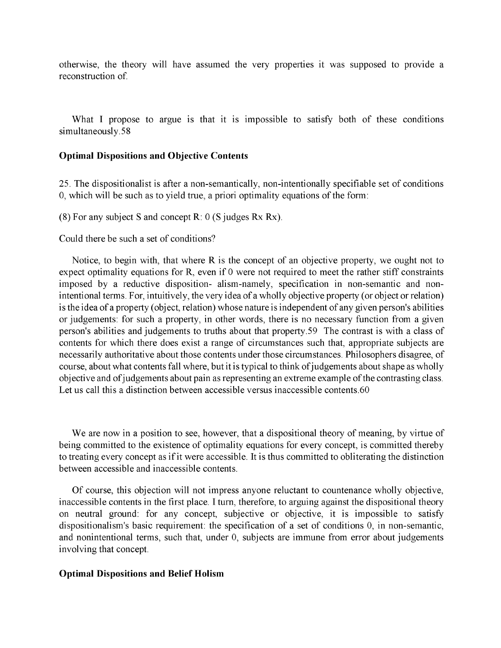otherwise, the theory will have assumed the very properties it was supposed to provide a reconstruction of.

What I propose to argue is that it is impossible to satisfy both of these conditions simultaneously.58

## Optimal Dispositions and Objective Contents

25. The dispositionalist is after a non-semantically, non-intentionally specifiable set of conditions  $0$ , which will be such as to yield true, a priori optimality equations of the form:

(8) For any subject S and concept R: 0 (S judges Rx Rx).

Could there be such a set of conditions?

Notice, to begin with, that where R is the concept of an objective property, we ought not to expect optimality equations for R, even if 0 were not required to meet the rather stiff constraints imposed by a reductive disposition- alism-namely, specification in non-semantic and nonintentional terms. For, intuitively, the very idea of a wholly objective property (or object or relation) is the idea of a property (object, relation) whose nature is independent of any given person's abilities or judgements: for such a property, in other words, there is no necessary function from a given person's abilities and judgements to truths about that property.59 The contrast is with a class of contents for which there does exist a range of circumstances such that, appropriate subjects are necessarily authoritative about those contents under those circumstances. Philosophers disagree, of course, about what contents fall where, but it is typical to think of judgements about shape as wholly objective and of judgements about pain as representing an extreme example of the contrasting class. Let us call this a distinction between accessible versus inaccessible contents.60

We are now in a position to see, however, that a dispositional theory of meaning, by virtue of being committed to the existence of optimality equations for every concept, is committed thereby to treating every concept as if it were accessible. It is thus committed to obliterating the distinction between accessible and inaccessible contents.

Of course, this objection will not impress anyone reluctant to countenance wholly objective, inaccessible contents in the first place. I turn, therefore, to arguing against the dispositional theory on neutral ground: for any concept, subjective or objective, it is impossible to satisfy dispositionalism's basic requirement: the specification of a set of conditions 0, in non-semantic, and nonintentional terms, such that, under 0, subjects are immune from error about judgements involving that concept.

#### Optimal Dispositions and Belief Holism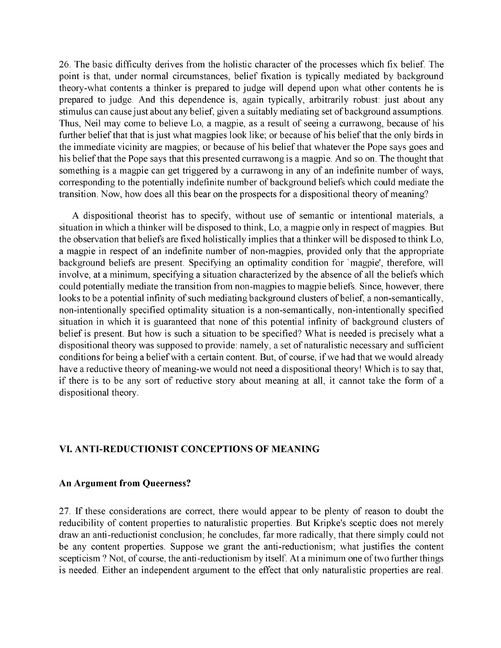26. The basic difficulty derives from the holistic character of the processes which fix belief. The point is that, under normal circumstances, belief fixation is typically mediated by background theory-what contents a thinker is prepared to judge will depend upon what other contents he is prepared to judge. And this dependence is, again typically, arbitrarily robust: just about any stimulus can cause just about any belief, given a suitably mediating set of background assumptions. Thus, Neil may come to believe Lo, a magpie, as a result of seeing a currawong, because of his further belief that that is just what magpies look like; or because of his belief that the only birds in the immediate vicinity are magpies; or because of his belief that whatever the Pope says goes and his belief that the Pope says that this presented currawong is a magpie. And so on. The thought that something is a magpie can get triggered by a currawong in any of an indefinite number of ways, corresponding to the potentially indefinite number of background beliefs which could mediate the transition. Now, how does all this bear on the prospects for a dispositional theory of meaning?

A dispositional theorist has to specify, without use of semantic or intentional materials, a situation in which a thinker will be disposed to think, Lo, a magpie only in respect of magpies. But the observation that beliefs are fixed holistically implies that a thinker will be disposed to think Lo, a magpie in respect of an indefinite number of non-magpies, provided only that the appropriate background beliefs are present. Specifying an optimality condition for 'magpie', therefore, will involve, at a minimum, specifying a situation characterized by the absence of all the beliefs which could potentially mediate the transition from non-magpiesto magpie beliefs. Since, however, there looks to be a potential infinity of such mediating background clusters of belief, a non-semantically, non-intentionally specified optimality situation is a non-semantically, non-intentionally specified situation in which it is guaranteed that none of this potential infinity of background clusters of belief is present. But how is such a situation to be specified? What is needed is precisely what a dispositional theory was supposed to provide: namely, a set of naturalistic necessary and sufficient conditions for being a belief with a certain content. But, of course, if we had that we would already have a reductive theory of meaning-we would not need a dispositional theory! Which is to say that, if there is to be any sort of reductive story about meaning at all, it cannot take the form of a dispositional theory.

# VI. ANTI-REDUCTIONIST CONCEPTIONS OF MEANING

## An Argument from Queerness?

27. If these considerations are correct, there would appear to be plenty of reason to doubt the reducibility of content properties to naturalistic properties. But Kripke's sceptic does not merely draw an anti-reductionist conclusion; he concludes, far more radically, that there simply could not be any content properties. Suppose we grant the anti-reductionism; what justifies the content scepticism ? Not, of course, the anti-reductionism by itself. At a minimum one of two further things is needed. Either an independent argument to the effect that only naturalistic properties are real.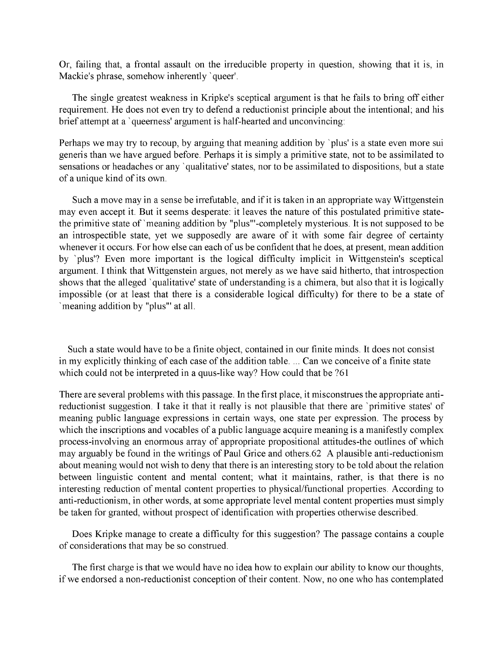Or, failing that, a frontal assault on the irreducible property in question, showing that it is, in Mackie's phrase, somehow inherently 'queer'.

The single greatest weakness in Kripke's sceptical argument is that he fails to bring off either requirement. He does not even try to defend a reductionist principle about the intentional; and his brief attempt at a 'queerness' argument is half-hearted and unconvincing:

Perhaps we may try to recoup, by arguing that meaning addition by 'plus' is a state even more sui generis than we have argued before. Perhaps it is simply a primitive state, not to be assimilated to sensations or headaches or any 'qualitative' states, nor to be assimilated to dispositions, but a state of a unique kind of its own.

Such a move may in a sense be irrefutable, and if it is taken in an appropriate way Wittgenstein may even accept it. But it seems desperate: it leaves the nature of this postulated primitive statethe primitive state of 'meaning addition by "plus"'-completely mysterious. It is not supposed to be an introspectible state, yet we supposedly are aware of it with some fair degree of certainty whenever it occurs. For how else can each of us be confident that he does, at present, mean addition by 'plus'? Even more important is the logical difficulty implicit in Wittgenstein's sceptical argument. I think that Wittgenstein argues, not merely as we have said hitherto, that introspection shows that the alleged 'qualitative' state of understanding is a chimera, but also that it is logically impossible (or at least that there is a considerable logical difficulty) for there to be a state of 'meaning addition by "plus"' at all.

Such a state would have to be a finite object, contained in our finite minds. It does not consist in my explicitly thinking of each case of the addition table. ... Can we conceive of a finite state which could not be interpreted in a quus-like way? How could that be ?61

There are several problems with this passage. In the first place, it misconstrues the appropriate antireductionist suggestion. I take it that it really is not plausible that there are 'primitive states' of meaning public language expressions in certain ways, one state per expression. The process by which the inscriptions and vocables of a public language acquire meaning is a manifestly complex process-involving an enormous array of appropriate propositional attitudes-the outlines of which may arguably be found in the writings of Paul Grice and others.62 A plausible anti-reductionism about meaning would not wish to deny that there is an interesting story to be told about the relation between linguistic content and mental content; what it maintains, rather, is that there is no interesting reduction of mental content properties to physical/functional properties. According to anti-reductionism, in other words, at some appropriate level mental content properties must simply be taken for granted, without prospect of identification with properties otherwise described.

Does Kripke manage to create a difficulty for this suggestion? The passage contains a couple of considerations that may be so construed.

The first charge is that we would have no idea how to explain our ability to know our thoughts, if we endorsed a non-reductionist conception of their content. Now, no one who has contemplated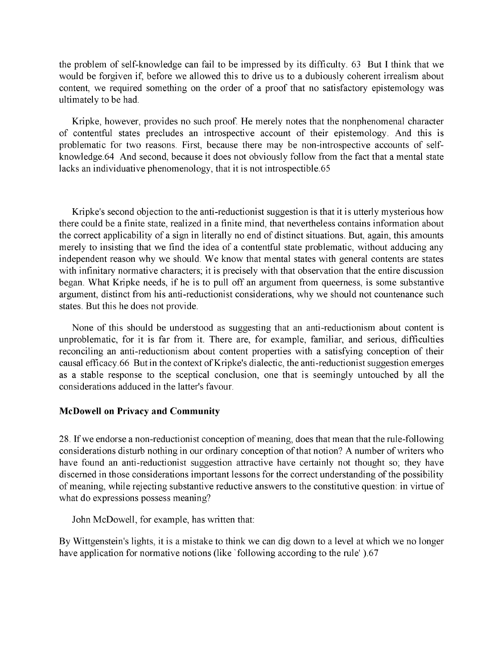the problem of self-knowledge can fail to be impressed by its difficulty. 63 But I think that we would be forgiven if, before we allowed this to drive us to a dubiously coherent irrealism about content, we required something on the order of a proof that no satisfactory epistemology was ultimately to be had.

Kripke, however, provides no such proof. He merely notes that the nonphenomenal character of contentful states precludes an introspective account of their epistemology. And this is problematic for two reasons. First, because there may be non-introspective accounts of selfknowledge.64 And second, because it does not obviously follow from the fact that a mental state lacks an individuative phenomenology, that it is not introspectible.65

Kripke's second objection to the anti-reductionist suggestion is that it is utterly mysterious how there could be a finite state, realized in a finite mind, that nevertheless contains information about the correct applicability of a sign in literally no end of distinct situations. But, again, this amounts merely to insisting that we find the idea of a contentful state problematic, without adducing any independent reason why we should. We know that mental states with general contents are states with infinitary normative characters; it is precisely with that observation that the entire discussion began. What Kripke needs, if he is to pull off an argument from queerness, is some substantive argument, distinct from his anti-reductionist considerations, why we should not countenance such states. But this he does not provide.

None of this should be understood as suggesting that an anti-reductionism about content is unproblematic, for it is far from it. There are, for example, familiar, and serious, difficulties reconciling an anti-reductionism about content properties with a satisfying conception of their causal efficacy.66 But in the context of Kripke's dialectic, the anti-reductionist suggestion emerges as a stable response to the sceptical conclusion, one that is seemingly untouched by all the considerations adduced in the latter's favour.

## McDowell on Privacy and Community

28. If we endorse a non-reductionist conception of meaning, does that mean that the rule-following considerations disturb nothing in our ordinary conception of that notion? A number of writers who have found an anti-reductionist suggestion attractive have certainly not thought so; they have discerned in those considerations important lessons for the correct understanding of the possibility of meaning, while rejecting substantive reductive answers to the constitutive question: in virtue of what do expressions possess meaning?

John McDowell, for example, has written that:

By Wittgenstein's lights, it is a mistake to think we can dig down to a level at which we no longer have application for normative notions (like 'following according to the rule').67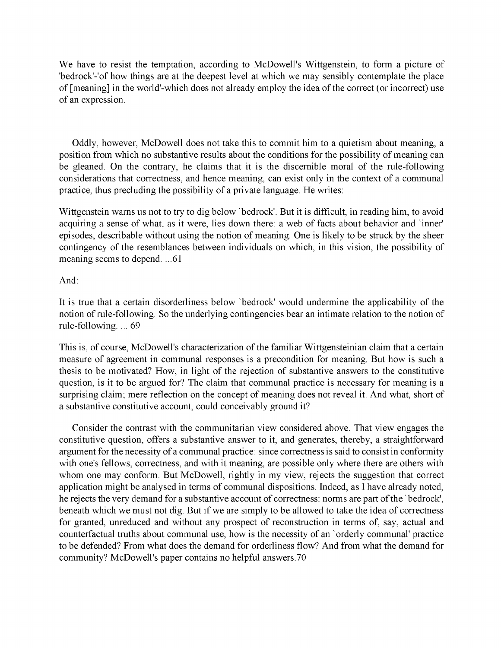We have to resist the temptation, according to McDowell's Wittgenstein, to form a picture of 'bedrock'-'of how things are at the deepest level at which we may sensibly contemplate the place of [meaning] in the world'-which does not already employ the idea of the correct (or incorrect) use of an expression.

Oddly, however, McDowell does not take this to commit him to a quietism about meaning, a position from which no substantive results about the conditions for the possibility of meaning can be gleaned. On the contrary, he claims that it is the discernible moral of the rule-following considerations that correctness, and hence meaning, can exist only in the context of a communal practice, thus precluding the possibility of a private language. He writes:

Wittgenstein warns us not to try to dig below 'bedrock'. But it is difficult, in reading him, to avoid acquiring a sense of what, as it were, lies down there: a web of facts about behavior and 'inner' episodes, describable without using the notion of meaning. One is likely to be struck by the sheer contingency of the resemblances between individuals on which, in this vision, the possibility of meaning seems to depend. ...61

## And:

It is true that a certain disorderliness below 'bedrock' would undermine the applicability of the notion of rule-following. So the underlying contingencies bear an intimate relation to the notion of rule-following. ... 69

This is, of course, McDowell's characterization of the familiar Wittgensteinian claim that a certain measure of agreement in communal responses is a precondition for meaning. But how is such a thesis to be motivated? How, in light of the rejection of substantive answers to the constitutive question, is it to be argued for? The claim that communal practice is necessary for meaning is a surprising claim; mere reflection on the concept of meaning does not reveal it. And what, short of a substantive constitutive account, could conceivably ground it?

Consider the contrast with the communitarian view considered above. That view engages the constitutive question, offers a substantive answer to it, and generates, thereby, a straightforward argument forthe necessity of a communal practice: since correctness is said to consist in conformity with one's fellows, correctness, and with it meaning, are possible only where there are others with whom one may conform. But McDowell, rightly in my view, rejects the suggestion that correct application might be analysed in terms of communal dispositions. Indeed, as I have already noted, he rejects the very demand for a substantive account of correctness: norms are part of the 'bedrock', beneath which we must not dig. But if we are simply to be allowed to take the idea of correctness for granted, unreduced and without any prospect of reconstruction in terms of, say, actual and counterfactual truths about communal use, how is the necessity of an 'orderly communal' practice to be defended? From what does the demand for orderliness flow? And from what the demand for community? McDowell's paper contains no helpful answers.70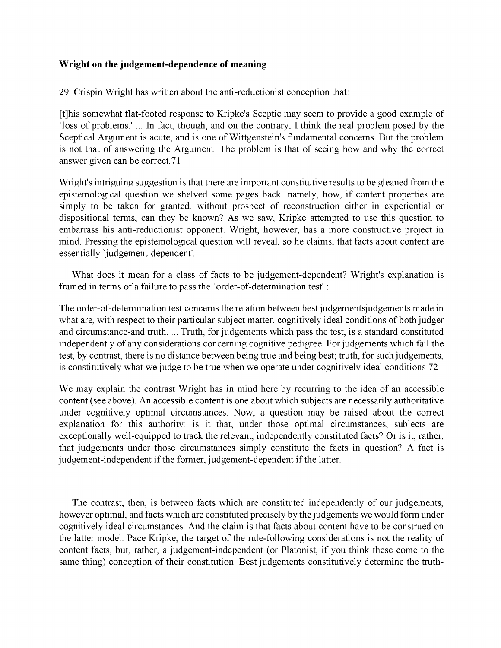## Wright on the judgement-dependence of meaning

29. Crispin Wright has written about the anti-reductionist conception that:

[t]his somewhat flat-footed response to Kripke's Sceptic may seem to provide a good example of 'loss of problems.' ... In fact, though, and on the contrary, I think the real problem posed by the Sceptical Argument is acute, and is one of Wittgenstein's fundamental concerns. But the problem is not that of answering the Argument. The problem is that of seeing how and why the correct answer given can be correct.71

Wright's intriguing suggestion is that there are important constitutive results to be gleaned from the epistemological question we shelved some pages back: namely, how, if content properties are simply to be taken for granted, without prospect of reconstruction either in experiential or dispositional terms, can they be known? As we saw, Kripke attempted to use this question to embarrass his anti-reductionist opponent. Wright, however, has a more constructive project in mind. Pressing the epistemological question will reveal, so he claims, that facts about content are essentially 'judgement-dependent'.

What does it mean for a class of facts to be judgement-dependent? Wright's explanation is framed in terms of a failure to pass the 'order-of-determination test' :

The order-of-determination test concerns the relation between best judgementsjudgements made in what are, with respect to their particular subject matter, cognitively ideal conditions of both judger and circumstance-and truth. ... Truth, for judgements which pass the test, is a standard constituted independently of any considerations concerning cognitive pedigree. For judgements which fail the test, by contrast, there is no distance between being true and being best; truth, for such judgements, is constitutively what we judge to be true when we operate under cognitively ideal conditions 72

We may explain the contrast Wright has in mind here by recurring to the idea of an accessible content (see above). An accessible content is one about which subjects are necessarily authoritative under cognitively optimal circumstances. Now, a question may be raised about the correct explanation for this authority: is it that, under those optimal circumstances, subjects are exceptionally well-equipped to track the relevant, independently constituted facts? Or is it, rather, that judgements under those circumstances simply constitute the facts in question? A fact is judgement-independent if the former, judgement-dependent if the latter.

The contrast, then, is between facts which are constituted independently of our judgements, however optimal, and facts which are constituted precisely by the judgements we would form under cognitively ideal circumstances. And the claim is that facts about content have to be construed on the latter model. Pace Kripke, the target of the rule-following considerations is not the reality of content facts, but, rather, a judgement-independent (or Platonist, if you think these come to the same thing) conception of their constitution. Best judgements constitutively determine the truth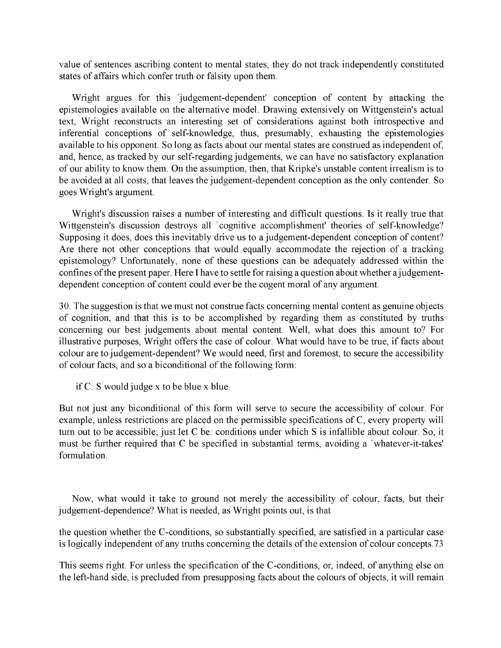value of sentences ascribing content to mental states; they do not track independently constituted states of affairs which confer truth or falsity upon them.

Wright argues for this 'judgement-dependent' conception of content by attacking the epistemologies available on the alternative model. Drawing extensively on Wittgenstein's actual text, Wright reconstructs an interesting set of considerations against both introspective and inferential conceptions of self-knowledge, thus, presumably, exhausting the epistemologies available to his opponent. So long as facts about our mental states are construed as independent of, and, hence, as tracked by our self-regarding judgements, we can have no satisfactory explanation of our ability to know them. On the assumption, then, that Kripke's unstable content irrealism is to be avoided at all costs, that leaves the judgement-dependent conception as the only contender. So goes Wright's argument.

Wright's discussion raises a number of interesting and difficult questions. Is it really true that Wittgenstein's discussion destroys all 'cognitive accomplishment' theories of self-knowledge? Supposing it does, does this inevitably drive us to a judgement-dependent conception of content? Are there not other conceptions that would equally accommodate the rejection of a tracking epistemology? Unfortunately, none of these questions can be adequately addressed within the confines of the present paper. Here I have to settle for raising a question about whether a judgementdependent conception of content could ever be the cogent moral of any argument.

30. The suggestion is that we must not construe facts concerning mental content as genuine objects of cognition, and that this is to be accomplished by regarding them as constituted by truths concerning our best judgements about mental content. Well, what does this amount to? For illustrative purposes, Wright offers the case of colour. What would have to be true, if facts about colour are to judgement-dependent? We would need, first and foremost, to secure the accessibility of colour facts, and so a biconditional of the following form:

ifC: S would judge x to be blue x blue.

But not just any biconditional of this form will serve to secure the accessibility of colour. For example, unless restrictions are placed on the permissible specifications of C, every property will turn out to be accessible; just let C be: conditions under which S is infallible about colour. So, it must be further required that C be specified in substantial terms, avoiding a 'whatever-it-takes' formulation.

Now, what would it take to ground not merely the accessibility of colour, facts, but their judgement-dependence? What is needed, as Wright points out, is that

the question whether the C-conditions, so substantially specified, are satisfied in a particular case is logically independent of any truths concerning the details of the extension of colour concepts.73

This seems right. For unless the specification of the C-conditions, or, indeed, of anything else on the left-hand side, is precluded from presupposing facts about the colours of objects, it will remain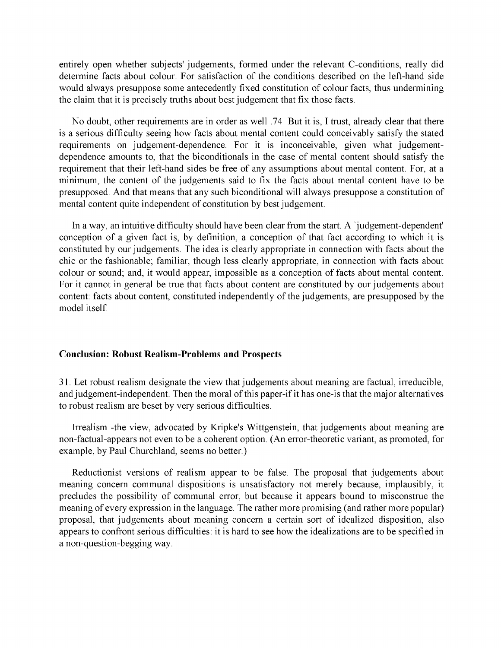entirely open whether subjects' judgements, formed under the relevant C-conditions, really did determine facts about colour. For satisfaction of the conditions described on the left-hand side would always presuppose some antecedently fixed constitution of colour facts, thus undermining the claim that it is precisely truths about best judgement that fix those facts.

No doubt, other requirements are in order as well .74 But it is, I trust, already clear that there is a serious difficulty seeing how facts about mental content could conceivably satisfy the stated requirements on judgement-dependence. For it is inconceivable, given what judgementdependence amounts to, that the biconditionals in the case of mental content should satisfy the requirement that their left-hand sides be free of any assumptions about mental content. For, at a minimum, the content of the judgements said to fix the facts about mental content have to be presupposed. And that means that any such biconditional will always presuppose a constitution of mental content quite independent of constitution by best judgement.

In a way, an intuitive difficulty should have been clear from the start. A 'judgement-dependent' conception of a given fact is, by definition, a conception of that fact according to which it is constituted by our judgements. The idea is clearly appropriate in connection with facts about the chic or the fashionable; familiar, though less clearly appropriate, in connection with facts about colour or sound; and, it would appear, impossible as a conception of facts about mental content. For it cannot in general be true that facts about content are constituted by our judgements about content: facts about content, constituted independently of the judgements, are presupposed by the model itself.

## Conclusion: Robust Realism-Problems and Prospects

31. Let robust realism designate the view that judgements about meaning are factual, irreducible, and judgement-independent. Then the moral of this paper-if it has one-is that the major alternatives to robust realism are beset by very serious difficulties.

Irrealism -the view, advocated by Kripke's Wittgenstein, that judgements about meaning are non-factual-appears not even to be a coherent option. (An error-theoretic variant, as promoted, for example, by Paul Churchland, seems no better.)

Reductionist versions of realism appear to be false. The proposal that judgements about meaning concern communal dispositions is unsatisfactory not merely because, implausibly, it precludes the possibility of communal error, but because it appears bound to misconstrue the meaning of every expression in the language. The rather more promising (and rather more popular) proposal, that judgements about meaning concern a certain sort of idealized disposition, also appears to confront serious difficulties: it is hard to see how the idealizations are to be specified in a non-question-begging way.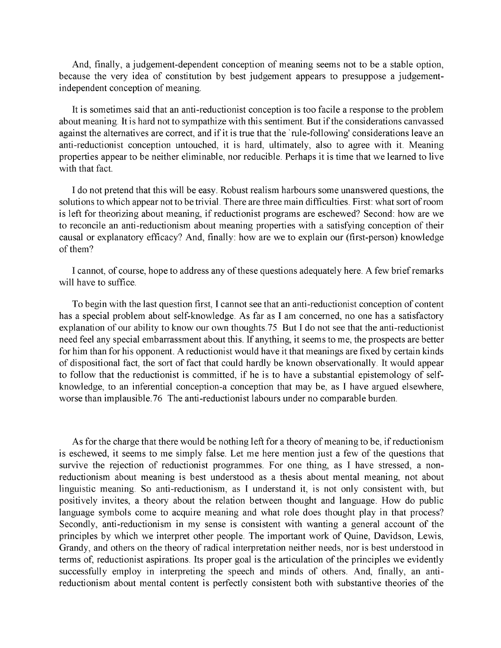And, finally, a judgement-dependent conception of meaning seems not to be a stable option, because the very idea of constitution by best judgement appears to presuppose a judgementindependent conception of meaning.

It is sometimes said that an anti-reductionist conception is too facile a response to the problem about meaning. It is hard not to sympathize with this sentiment. But if the considerations canvassed against the alternatives are correct, and if it is true that the 'rule-following' considerations leave an anti-reductionist conception untouched, it is hard, ultimately, also to agree with it. Meaning properties appear to be neither eliminable, nor reducible. Perhaps it is time that we learned to live with that fact.

I do not pretend that this will be easy. Robust realism harbours some unanswered questions, the solutions to which appear not to be trivial. There are three main difficulties. First: what sort of room is left for theorizing about meaning, if reductionist programs are eschewed? Second: how are we to reconcile an anti-reductionism about meaning properties with a satisfying conception of their causal or explanatory efficacy? And, finally: how are we to explain our (first-person) knowledge of them?

I cannot, of course, hope to address any of these questions adequately here. A few brief remarks will have to suffice.

To begin with the last question first, I cannot see that an anti-reductionist conception of content has a special problem about self-knowledge. As far as I am concerned, no one has a satisfactory explanation of our ability to know our own thoughts.75 But I do not see that the anti-reductionist need feel any special embarrassment about this. If anything, it seems to me, the prospects are better for him than for his opponent. A reductionist would have it that meanings are fixed by certain kinds of dispositional fact, the sort of fact that could hardly be known observationally. It would appear to follow that the reductionist is committed, if he is to have a substantial epistemology of selfknowledge, to an inferential conception-a conception that may be, as I have argued elsewhere, worse than implausible.76 The anti-reductionist labours under no comparable burden.

As for the charge that there would be nothing left for a theory of meaning to be, if reductionism is eschewed, it seems to me simply false. Let me here mention just a few of the questions that survive the rejection of reductionist programmes. For one thing, as I have stressed, a nonreductionism about meaning is best understood as a thesis about mental meaning, not about linguistic meaning. So anti-reductionism, as I understand it, is not only consistent with, but positively invites, a theory about the relation between thought and language. How do public language symbols come to acquire meaning and what role does thought play in that process? Secondly, anti-reductionism in my sense is consistent with wanting a general account of the principles by which we interpret other people. The important work of Quine, Davidson, Lewis, Grandy, and others on the theory of radical interpretation neither needs, nor is best understood in terms of, reductionist aspirations. Its proper goal is the articulation of the principles we evidently successfully employ in interpreting the speech and minds of others. And, finally, an antireductionism about mental content is perfectly consistent both with substantive theories of the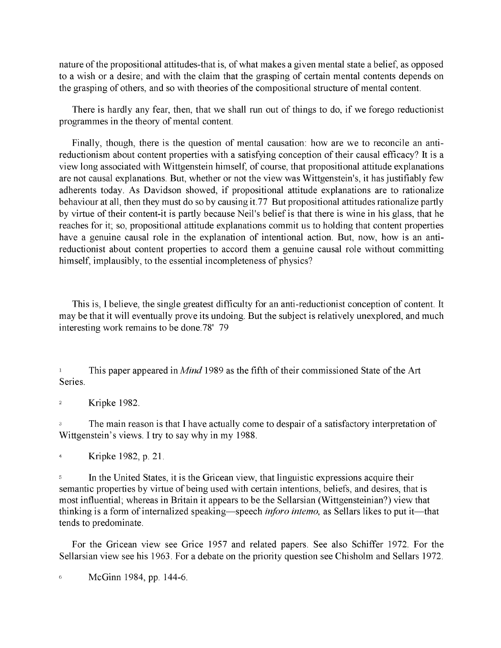nature of the propositional attitudes-that is, of what makes a given mental state a belief, as opposed to a wish or a desire; and with the claim that the grasping of certain mental contents depends on the grasping of others, and so with theories of the compositional structure of mental content.

There is hardly any fear, then, that we shall run out of things to do, if we forego reductionist programmes in the theory of mental content.

Finally, though, there is the question of mental causation: how are we to reconcile an antireductionism about content properties with a satisfying conception of their causal efficacy? It is a view long associated with Wittgenstein himself, of course, that propositional attitude explanations are not causal explanations. But, whether or not the view was Wittgenstein's, it has justifiably few adherents today. As Davidson showed, if propositional attitude explanations are to rationalize behaviour at all, then they must do so by causing it.77 But propositional attitudes rationalize partly by virtue of their content-it is partly because Neil's belief is that there is wine in his glass, that he reaches for it; so, propositional attitude explanations commit us to holding that content properties have a genuine causal role in the explanation of intentional action. But, now, how is an antireductionist about content properties to accord them a genuine causal role without committing himself, implausibly, to the essential incompleteness of physics?

This is, I believe, the single greatest difficulty for an anti-reductionist conception of content. It may be that it will eventually prove its undoing. But the subject is relatively unexplored, and much interesting work remains to be done.78' 79

<sup>1</sup> This paper appeared in *Mind* 1989 as the fifth of their commissioned State of the Art Series.

<sup>2</sup> Kripke 1982.

<sup>3</sup> The main reason is that I have actually come to despair of a satisfactory interpretation of Wittgenstein's views. I try to say why in my 1988.

<sup>4</sup> Kripke 1982, p. 21.

<sup>5</sup> In the United States, it is the Gricean view, that linguistic expressions acquire their semantic properties by virtue of being used with certain intentions, beliefs, and desires, that is most influential; whereas in Britain it appears to be the Sellarsian (Wittgensteinian?) view that thinking is a form of internalized speaking—speech *inforo intemo*, as Sellars likes to put it—that tends to predominate.

For the Gricean view see Grice 1957 and related papers. See also Schiffer 1972. For the Sellarsian view see his 1963. For a debate on the priority question see Chisholm and Sellars 1972.

<sup>6</sup> McGinn 1984, pp. 144-6.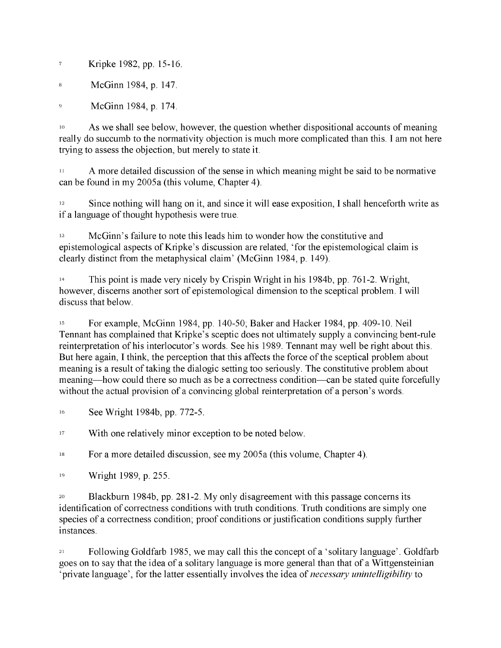<sup>7</sup> Kripke 1982, pp. 15-16.

<sup>8</sup> McGinn 1984, p. 147.

<sup>9</sup> McGinn 1984, p. 174.

<sup>10</sup> As we shall see below, however, the question whether dispositional accounts of meaning really do succumb to the normativity objection is much more complicated than this. I am not here trying to assess the objection, but merely to state it.

 $11$  A more detailed discussion of the sense in which meaning might be said to be normative can be found in my 2005a (this volume, Chapter 4).

<sup>12</sup> Since nothing will hang on it, and since it will ease exposition, I shall henceforth write as if a language of thought hypothesis were true.

<sup>13</sup> McGinn's failure to note this leads him to wonder how the constitutive and epistemological aspects of Kripke's discussion are related, 'for the epistemological claim is clearly distinct from the metaphysical claim' (McGinn 1984, p. 149).

<sup>14</sup> This point is made very nicely by Crispin Wright in his 1984b, pp. 761-2. Wright, however, discerns another sort of epistemological dimension to the sceptical problem. I will discuss that below.

<sup>15</sup> For example, McGinn 1984, pp. 140-50; Baker and Hacker 1984, pp. 409-10. Neil Tennant has complained that Kripke's sceptic does not ultimately supply a convincing bent-rule reinterpretation of his interlocutor's words. See his 1989. Tennant may well be right about this. But here again, I think, the perception that this affects the force of the sceptical problem about meaning is a result of taking the dialogic setting too seriously. The constitutive problem about meaning—how could there so much as be a correctness condition—can be stated quite forcefully without the actual provision of a convincing global reinterpretation of a person's words.

<sup>16</sup> See Wright 1984b, pp. 772-5.

<sup>17</sup> With one relatively minor exception to be noted below.

<sup>18</sup> For a more detailed discussion, see my 2005a (this volume, Chapter 4).

<sup>19</sup> Wright 1989, p. 255.

<sup>20</sup> Blackburn 1984b, pp. 281-2. My only disagreement with this passage concerns its identification of correctness conditions with truth conditions. Truth conditions are simply one species of a correctness condition; proof conditions or justification conditions supply further instances.

<sup>21</sup> Following Goldfarb 1985, we may call this the concept of a 'solitary language'. Goldfarb goes on to say that the idea of a solitary language is more general than that of a Wittgensteinian 'private language', for the latter essentially involves the idea of necessary unintelligibility to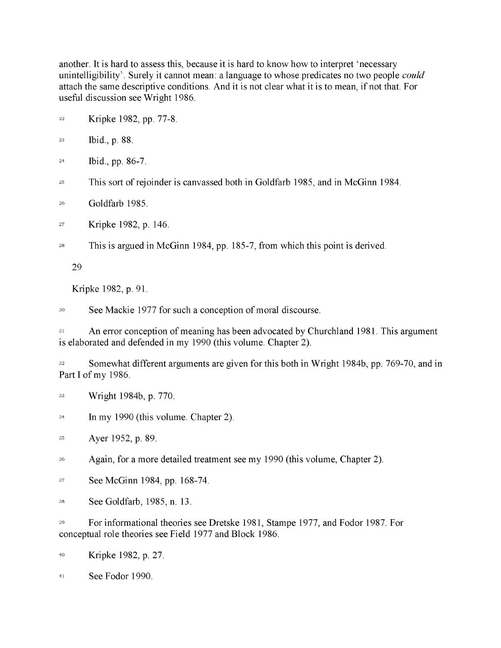another. It is hard to assess this, because it is hard to know how to interpret 'necessary unintelligibility'. Surely it cannot mean: a language to whose predicates no two people *could* attach the same descriptive conditions. And it is not clear what it is to mean, if not that. For useful discussion see Wright 1986.

- Kripke 1982, pp. 77-8.
- Ibid., p. 88.
- Ibid., pp. 86-7.
- This sort of rejoinder is canvassed both in Goldfarb 1985, and in McGinn 1984.
- Goldfarb 1985.
- Kripke 1982, p. 146.
- This is argued in McGinn 1984, pp. 185-7, from which this point is derived.

Kripke 1982, p. 91.

30 See Mackie 1977 for such a conception of moral discourse.

<sup>31</sup> An error conception of meaning has been advocated by Churchland 1981. This argument is elaborated and defended in my 1990 (this volume. Chapter 2).

<sup>32</sup> Somewhat different arguments are given for this both in Wright 1984b, pp. 769-70, and in Part I of my 1986.

- Wright 1984b, p. 770.
- In my 1990 (this volume. Chapter 2).

Ayer 1952, p. 89.

Again, for a more detailed treatment see my 1990 (this volume, Chapter 2).

See McGinn 1984, pp. 168-74.

See Goldfarb, 1985, n. 13.

 For informational theories see Dretske 1981, Stampe 1977, and Fodor 1987. For conceptual role theories see Field 1977 and Block 1986.

Kripke 1982, p. 27.

See Fodor 1990.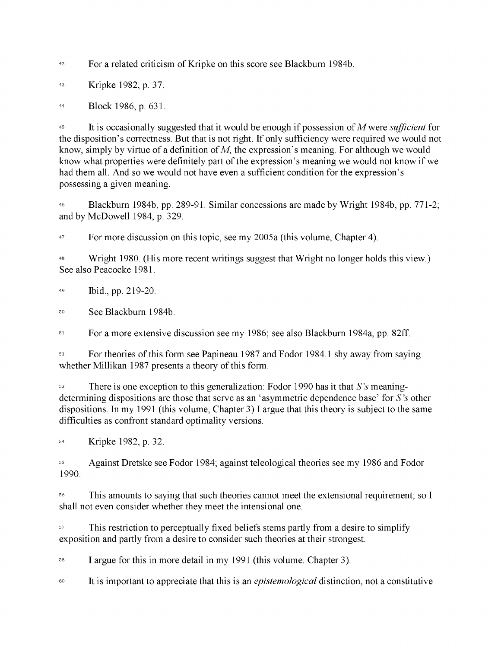<sup>42</sup> For a related criticism of Kripke on this score see Blackburn 1984b.

<sup>43</sup> Kripke 1982, p. 37.

<sup>44</sup> Block 1986, p. 631.

 $45$  It is occasionally suggested that it would be enough if possession of M were *sufficient* for the disposition's correctness. But that is not right. If only sufficiency were required we would not know, simply by virtue of a definition of  $M$ , the expression's meaning. For although we would know what properties were definitely part of the expression's meaning we would not know if we had them all. And so we would not have even a sufficient condition for the expression's possessing a given meaning.

<sup>46</sup> Blackburn 1984b, pp. 289-91. Similar concessions are made by Wright 1984b, pp. 771-2; and by McDowell 1984, p. 329.

<sup>47</sup> For more discussion on this topic, see my 2005a (this volume, Chapter 4).

<sup>48</sup> Wright 1980. (His more recent writings suggest that Wright no longer holds this view.) See also Peacocke 1981.

<sup>49</sup> Ibid., pp. 219-20.

<sup>50</sup> See Blackburn 1984b.

<sup>51</sup> For a more extensive discussion see my 1986; see also Blackburn 1984a, pp. 82ff.

<sup>53</sup> For theories ofthis form see Papineau 1987 and Fodor 1984.1 shy away from saying whether Millikan 1987 presents a theory of this form.

 $52$  There is one exception to this generalization: Fodor 1990 has it that S's meaningdetermining dispositions are those that serve as an 'asymmetric dependence base' for S's other dispositions. In my 1991 (this volume, Chapter 3) I argue that this theory is subject to the same difficulties as confront standard optimality versions.

<sup>54</sup> Kripke 1982, p. 32.

<sup>55</sup> Against Dretske see Fodor 1984; against teleological theories see my 1986 and Fodor 1990.

<sup>56</sup> This amounts to saying that such theories cannot meet the extensional requirement; so I shall not even consider whether they meet the intensional one.

<sup>57</sup> This restriction to perceptually fixed beliefs stems partly from a desire to simplify exposition and partly from a desire to consider such theories at their strongest.

<sup>58</sup> I argue for this in more detail in my 1991 (this volume. Chapter 3).

60 It is important to appreciate that this is an *epistemological* distinction, not a constitutive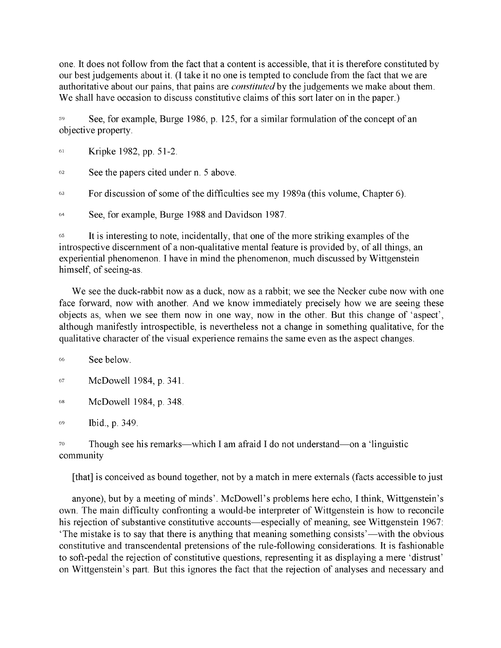one. It does not follow from the fact that a content is accessible, that it is therefore constituted by our best judgements about it. (I take it no one is tempted to conclude from the fact that we are authoritative about our pains, that pains are *constituted* by the judgements we make about them. We shall have occasion to discuss constitutive claims of this sort later on in the paper.)

59 See, for example, Burge 1986, p. 125, for a similar formulation of the concept of an objective property.

<sup>61</sup> Kripke 1982, pp. 51-2.

<sup>62</sup> See the papers cited under n. 5 above.

<sup>63</sup> For discussion of some of the difficulties see my 1989a (this volume, Chapter 6).

<sup>64</sup> See, for example, Burge 1988 and Davidson 1987.

<sup>65</sup> It is interesting to note, incidentally, that one of the more striking examples of the introspective discernment of a non-qualitative mental feature is provided by, of all things, an experiential phenomenon. I have in mind the phenomenon, much discussed by Wittgenstein himself, of seeing-as.

We see the duck-rabbit now as a duck, now as a rabbit; we see the Necker cube now with one face forward, now with another. And we know immediately precisely how we are seeing these objects as, when we see them now in one way, now in the other. But this change of 'aspect', although manifestly introspectible, is nevertheless not a change in something qualitative, for the qualitative character of the visual experience remains the same even as the aspect changes.

<sup>66</sup> See below.

- <sup>67</sup> McDowell 1984, p. 341.
- <sup>68</sup> McDowell 1984, p. 348.

<sup>70</sup> Though see his remarks—which I am afraid I do not understand—on a 'linguistic community

[that] is conceived as bound together, not by a match in mere externals (facts accessible to just

anyone), but by a meeting of minds'. McDowell's problems here echo, I think, Wittgenstein's own. The main difficulty confronting a would-be interpreter of Wittgenstein is how to reconcile his rejection of substantive constitutive accounts—especially of meaning, see Wittgenstein 1967: 'The mistake is to say that there is anything that meaning something consists'—with the obvious constitutive and transcendental pretensions of the rule-following considerations. It is fashionable to soft-pedal the rejection of constitutive questions, representing it as displaying a mere 'distrust' on Wittgenstein's part. But this ignores the fact that the rejection of analyses and necessary and

<sup>69</sup> Ibid., p. 349.